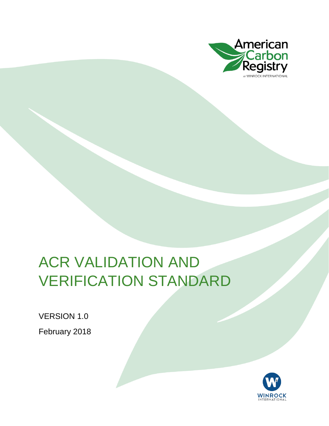

### ACR VALIDATION AND VERIFICATION STANDARD

VERSION 1.0

February 2018

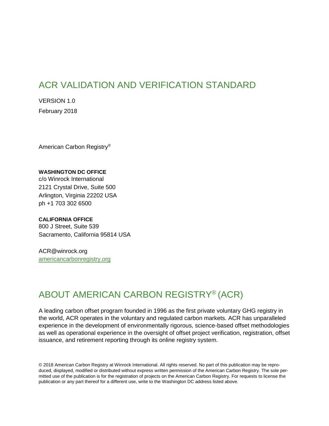#### ACR VALIDATION AND VERIFICATION STANDARD

VERSION 1.0 February 2018

American Carbon Registry®

#### **WASHINGTON DC OFFICE**

c/o Winrock International 2121 Crystal Drive, Suite 500 Arlington, Virginia 22202 USA ph +1 703 302 6500

#### **CALIFORNIA OFFICE**

800 J Street, Suite 539 Sacramento, California 95814 USA

ACR@winrock.org [americancarbonregistry.org](http://americancarbonregistry.org/)

#### ABOUT AMERICAN CARBON REGISTRY® (ACR)

A leading carbon offset program founded in 1996 as the first private voluntary GHG registry in the world, ACR operates in the voluntary and regulated carbon markets. ACR has unparalleled experience in the development of environmentally rigorous, science-based offset methodologies as well as operational experience in the oversight of offset project verification, registration, offset issuance, and retirement reporting through its online registry system.

© 2018 American Carbon Registry at Winrock International. All rights reserved. No part of this publication may be reproduced, displayed, modified or distributed without express written permission of the American Carbon Registry. The sole permitted use of the publication is for the registration of projects on the American Carbon Registry. For requests to license the publication or any part thereof for a different use, write to the Washington DC address listed above.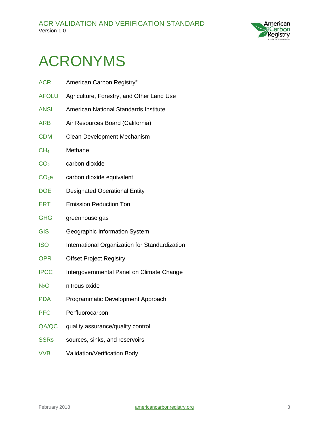

### <span id="page-2-0"></span>ACRONYMS

| <b>ACR</b>        | American Carbon Registry®                      |
|-------------------|------------------------------------------------|
| <b>AFOLU</b>      | Agriculture, Forestry, and Other Land Use      |
| <b>ANSI</b>       | American National Standards Institute          |
| <b>ARB</b>        | Air Resources Board (California)               |
| <b>CDM</b>        | Clean Development Mechanism                    |
| CH <sub>4</sub>   | Methane                                        |
| CO <sub>2</sub>   | carbon dioxide                                 |
| CO <sub>2</sub> e | carbon dioxide equivalent                      |
| <b>DOE</b>        | <b>Designated Operational Entity</b>           |
| ERT               | <b>Emission Reduction Ton</b>                  |
| <b>GHG</b>        | greenhouse gas                                 |
| <b>GIS</b>        | Geographic Information System                  |
| <b>ISO</b>        | International Organization for Standardization |
| <b>OPR</b>        | <b>Offset Project Registry</b>                 |
| <b>IPCC</b>       | Intergovernmental Panel on Climate Change      |
| N <sub>2</sub> O  | nitrous oxide                                  |
| <b>PDA</b>        | Programmatic Development Approach              |
| <b>PFC</b>        | Perfluorocarbon                                |
| QA/QC             | quality assurance/quality control              |
| <b>SSRs</b>       | sources, sinks, and reservoirs                 |
| <b>VVB</b>        | Validation/Verification Body                   |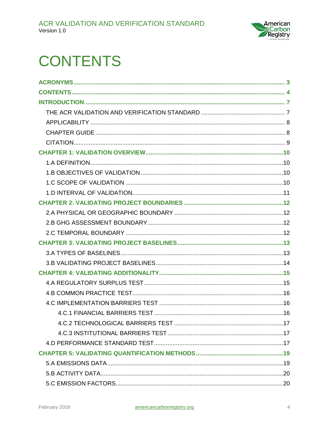

# <span id="page-3-0"></span>**CONTENTS**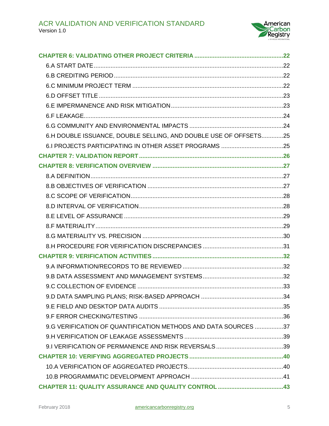

| 6.H DOUBLE ISSUANCE, DOUBLE SELLING, AND DOUBLE USE OF OFFSETS25 |  |
|------------------------------------------------------------------|--|
|                                                                  |  |
|                                                                  |  |
|                                                                  |  |
|                                                                  |  |
|                                                                  |  |
|                                                                  |  |
|                                                                  |  |
|                                                                  |  |
|                                                                  |  |
|                                                                  |  |
|                                                                  |  |
|                                                                  |  |
|                                                                  |  |
|                                                                  |  |
|                                                                  |  |
|                                                                  |  |
|                                                                  |  |
|                                                                  |  |
| 9.G VERIFICATION OF QUANTIFICATION METHODS AND DATA SOURCES 37   |  |
|                                                                  |  |
|                                                                  |  |
|                                                                  |  |
|                                                                  |  |
|                                                                  |  |
|                                                                  |  |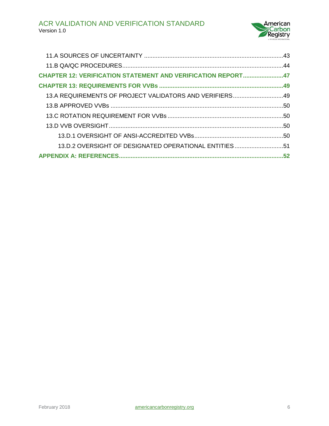

| <b>CHAPTER 12: VERIFICATION STATEMENT AND VERIFICATION REPORT47</b> |  |
|---------------------------------------------------------------------|--|
|                                                                     |  |
| 13.A REQUIREMENTS OF PROJECT VALIDATORS AND VERIFIERS49             |  |
|                                                                     |  |
|                                                                     |  |
|                                                                     |  |
|                                                                     |  |
| 13.D.2 OVERSIGHT OF DESIGNATED OPERATIONAL ENTITIES51               |  |
|                                                                     |  |
|                                                                     |  |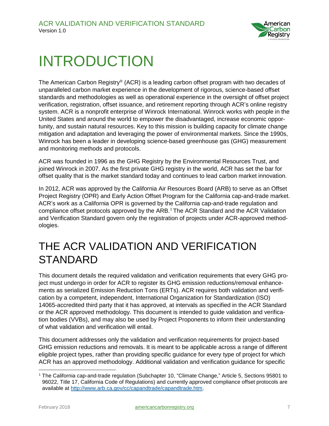

### <span id="page-6-0"></span>INTRODUCTION

The American Carbon Registry® (ACR) is a leading carbon offset program with two decades of unparalleled carbon market experience in the development of rigorous, science-based offset standards and methodologies as well as operational experience in the oversight of offset project verification, registration, offset issuance, and retirement reporting through ACR's online registry system. ACR is a nonprofit enterprise of Winrock International. Winrock works with people in the United States and around the world to empower the disadvantaged, increase economic opportunity, and sustain natural resources. Key to this mission is building capacity for climate change mitigation and adaptation and leveraging the power of environmental markets. Since the 1990s, Winrock has been a leader in developing science-based greenhouse gas (GHG) measurement and monitoring methods and protocols.

ACR was founded in 1996 as the GHG Registry by the Environmental Resources Trust, and joined Winrock in 2007. As the first private GHG registry in the world, ACR has set the bar for offset quality that is the market standard today and continues to lead carbon market innovation.

In 2012, ACR was approved by the California Air Resources Board (ARB) to serve as an Offset Project Registry (OPR) and Early Action Offset Program for the California cap-and-trade market. ACR's work as a California OPR is governed by the California cap-and-trade regulation and compliance offset protocols approved by the ARB.<sup>1</sup> The ACR Standard and the ACR Validation and Verification Standard govern only the registration of projects under ACR-approved methodologies.

#### <span id="page-6-1"></span>THE ACR VALIDATION AND VERIFICATION STANDARD

This document details the required validation and verification requirements that every GHG project must undergo in order for ACR to register its GHG emission reductions/removal enhancements as serialized Emission Reduction Tons (ERTs). ACR requires both validation and verification by a competent, independent, International Organization for Standardization (ISO) 14065-accredited third party that it has approved, at intervals as specified in the ACR Standard or the ACR approved methodology. This document is intended to guide validation and verification bodies (VVBs), and may also be used by Project Proponents to inform their understanding of what validation and verification will entail.

This document addresses only the validation and verification requirements for project-based GHG emission reductions and removals. It is meant to be applicable across a range of different eligible project types, rather than providing specific guidance for every type of project for which ACR has an approved methodology. Additional validation and verification guidance for specific

**<sup>1</sup>** The California cap-and-trade regulation (Subchapter 10, "Climate Change," Article 5, Sections 95801 to 96022, Title 17, California Code of Regulations) and currently approved compliance offset protocols are available at [http://www.arb.ca.gov/cc/capandtrade/capandtrade.htm.](http://www.arb.ca.gov/cc/capandtrade/capandtrade.htm)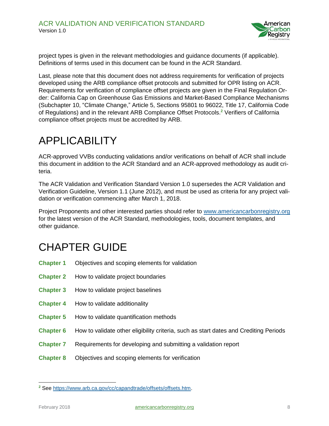

project types is given in the relevant methodologies and guidance documents (if applicable). Definitions of terms used in this document can be found in the ACR Standard.

Last, please note that this document does not address requirements for verification of projects developed using the ARB compliance offset protocols and submitted for OPR listing on ACR. Requirements for verification of compliance offset projects are given in the Final Regulation Order: California Cap on Greenhouse Gas Emissions and Market-Based Compliance Mechanisms (Subchapter 10, "Climate Change," Article 5, Sections 95801 to 96022, Title 17, California Code of Regulations) and in the relevant ARB Compliance Offset Protocols.**<sup>2</sup>** Verifiers of California compliance offset projects must be accredited by ARB.

#### <span id="page-7-0"></span>APPLICABILITY

ACR-approved VVBs conducting validations and/or verifications on behalf of ACR shall include this document in addition to the ACR Standard and an ACR-approved methodology as audit criteria.

The ACR Validation and Verification Standard Version 1.0 supersedes the ACR Validation and Verification Guideline, Version 1.1 (June 2012), and must be used as criteria for any project validation or verification commencing after March 1, 2018.

Project Proponents and other interested parties should refer to [www.americancarbonregistry.org](http://www.americancarbonregistry.org/) for the latest version of the ACR Standard, methodologies, tools, document templates, and other guidance.

#### <span id="page-7-1"></span>CHAPTER GUIDE

- **Chapter 1** Objectives and scoping elements for validation
- **Chapter 2** How to validate project boundaries
- **Chapter 3** How to validate project baselines
- **Chapter 4** How to validate additionality
- **Chapter 5** How to validate quantification methods
- **Chapter 6** How to validate other eligibility criteria, such as start dates and Crediting Periods
- **Chapter 7** Requirements for developing and submitting a validation report
- **Chapter 8** Objectives and scoping elements for verification

 $\overline{a}$ 

**<sup>2</sup>** See [https://www.arb.ca.gov/cc/capandtrade/offsets/offsets.htm.](https://www.arb.ca.gov/cc/capandtrade/offsets/offsets.htm)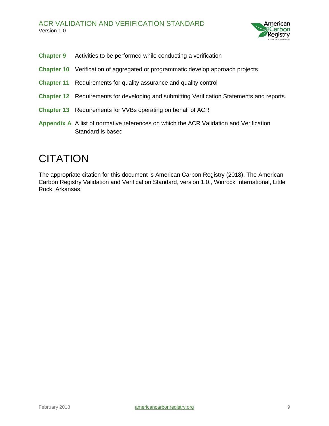

- **Chapter 9** Activities to be performed while conducting a verification
- **Chapter 10** Verification of aggregated or programmatic develop approach projects
- **Chapter 11** Requirements for quality assurance and quality control
- **Chapter 12** Requirements for developing and submitting Verification Statements and reports.
- **Chapter 13** Requirements for VVBs operating on behalf of ACR
- **Appendix A** A list of normative references on which the ACR Validation and Verification Standard is based

#### <span id="page-8-0"></span>**CITATION**

The appropriate citation for this document is American Carbon Registry (2018). The American Carbon Registry Validation and Verification Standard, version 1.0., Winrock International, Little Rock, Arkansas.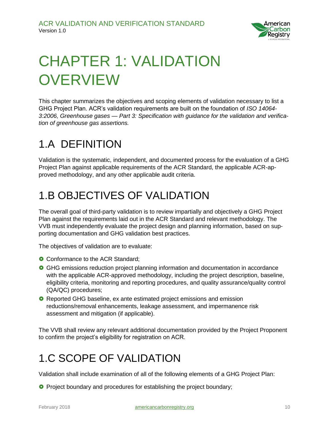

# <span id="page-9-0"></span>CHAPTER 1: VALIDATION **OVERVIEW**

This chapter summarizes the objectives and scoping elements of validation necessary to list a GHG Project Plan. ACR's validation requirements are built on the foundation of *ISO 14064- 3:2006, Greenhouse gases — Part 3: Specification with guidance for the validation and verification of greenhouse gas assertions.*

### <span id="page-9-1"></span>1.A DEFINITION

Validation is the systematic, independent, and documented process for the evaluation of a GHG Project Plan against applicable requirements of the ACR Standard, the applicable ACR-approved methodology, and any other applicable audit criteria.

#### <span id="page-9-2"></span>1.B OBJECTIVES OF VALIDATION

The overall goal of third-party validation is to review impartially and objectively a GHG Project Plan against the requirements laid out in the ACR Standard and relevant methodology. The VVB must independently evaluate the project design and planning information, based on supporting documentation and GHG validation best practices.

The objectives of validation are to evaluate:

- **O** Conformance to the ACR Standard;
- GHG emissions reduction project planning information and documentation in accordance with the applicable ACR-approved methodology, including the project description, baseline, eligibility criteria, monitoring and reporting procedures, and quality assurance/quality control (QA/QC) procedures;
- **O** Reported GHG baseline, ex ante estimated project emissions and emission reductions/removal enhancements, leakage assessment, and impermanence risk assessment and mitigation (if applicable).

The VVB shall review any relevant additional documentation provided by the Project Proponent to confirm the project's eligibility for registration on ACR.

### <span id="page-9-3"></span>1.C SCOPE OF VALIDATION

Validation shall include examination of all of the following elements of a GHG Project Plan:

**P** Project boundary and procedures for establishing the project boundary;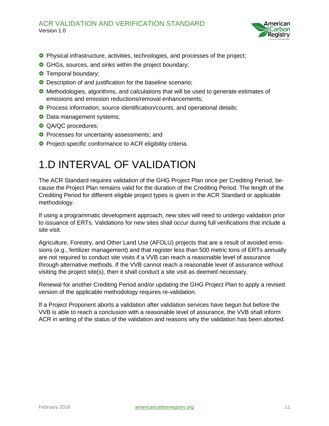#### ACR VALIDATION AND VERIFICATION STANDARD Version 1.0



- **O** Physical infrastructure, activities, technologies, and processes of the project;
- **GHGs, sources, and sinks within the project boundary;**
- **O** Temporal boundary;
- **O** Description of and justification for the baseline scenario;
- **O** Methodologies, algorithms, and calculations that will be used to generate estimates of emissions and emission reductions/removal enhancements;
- **O** Process information, source identification/counts, and operational details;
- **O** Data management systems;
- **O** QA/QC procedures;
- **O** Processes for uncertainty assessments; and
- <span id="page-10-0"></span>**O** Project-specific conformance to ACR eligibility criteria.

#### 1.D INTERVAL OF VALIDATION

The ACR Standard requires validation of the GHG Project Plan once per Crediting Period, because the Project Plan remains valid for the duration of the Crediting Period. The length of the Crediting Period for different eligible project types is given in the ACR Standard or applicable methodology.

If using a programmatic development approach, new sites will need to undergo validation prior to issuance of ERTs. Validations for new sites shall occur during full verifications that include a site visit.

Agriculture, Forestry, and Other Land Use (AFOLU) projects that are a result of avoided emissions (e.g., fertilizer management) and that register less than 500 metric tons of ERTs annually are not required to conduct site visits if a VVB can reach a reasonable level of assurance through alternative methods. If the VVB cannot reach a reasonable level of assurance without visiting the project site(s), then it shall conduct a site visit as deemed necessary.

Renewal for another Crediting Period and/or updating the GHG Project Plan to apply a revised version of the applicable methodology requires re-validation.

If a Project Proponent aborts a validation after validation services have begun but before the VVB is able to reach a conclusion with a reasonable level of assurance, the VVB shall inform ACR in writing of the status of the validation and reasons why the validation has been aborted.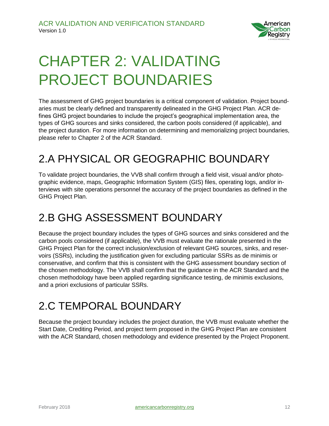

# <span id="page-11-0"></span>CHAPTER 2: VALIDATING PROJECT BOUNDARIES

The assessment of GHG project boundaries is a critical component of validation. Project boundaries must be clearly defined and transparently delineated in the GHG Project Plan. ACR defines GHG project boundaries to include the project's geographical implementation area, the types of GHG sources and sinks considered, the carbon pools considered (if applicable), and the project duration. For more information on determining and memorializing project boundaries, please refer to Chapter 2 of the ACR Standard.

#### <span id="page-11-1"></span>2.A PHYSICAL OR GEOGRAPHIC BOUNDARY

To validate project boundaries, the VVB shall confirm through a field visit, visual and/or photographic evidence, maps, Geographic Information System (GIS) files, operating logs, and/or interviews with site operations personnel the accuracy of the project boundaries as defined in the GHG Project Plan.

#### <span id="page-11-2"></span>2.B GHG ASSESSMENT BOUNDARY

Because the project boundary includes the types of GHG sources and sinks considered and the carbon pools considered (if applicable), the VVB must evaluate the rationale presented in the GHG Project Plan for the correct inclusion/exclusion of relevant GHG sources, sinks, and reservoirs (SSRs), including the justification given for excluding particular SSRs as de minimis or conservative, and confirm that this is consistent with the GHG assessment boundary section of the chosen methodology. The VVB shall confirm that the guidance in the ACR Standard and the chosen methodology have been applied regarding significance testing, de minimis exclusions, and a priori exclusions of particular SSRs.

### <span id="page-11-3"></span>2.C TEMPORAL BOUNDARY

Because the project boundary includes the project duration, the VVB must evaluate whether the Start Date, Crediting Period, and project term proposed in the GHG Project Plan are consistent with the ACR Standard, chosen methodology and evidence presented by the Project Proponent.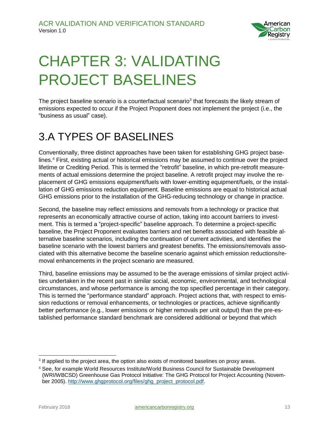

# <span id="page-12-0"></span>CHAPTER 3: VALIDATING PROJECT BASELINES

The project baseline scenario is a counterfactual scenario**<sup>3</sup>** that forecasts the likely stream of emissions expected to occur if the Project Proponent does not implement the project (i.e., the "business as usual" case).

### <span id="page-12-1"></span>3.A TYPES OF BASELINES

Conventionally, three distinct approaches have been taken for establishing GHG project baselines.**<sup>4</sup>** First, existing actual or historical emissions may be assumed to continue over the project lifetime or Crediting Period. This is termed the "retrofit" baseline, in which pre-retrofit measurements of actual emissions determine the project baseline. A retrofit project may involve the replacement of GHG emissions equipment/fuels with lower-emitting equipment/fuels, or the installation of GHG emissions reduction equipment. Baseline emissions are equal to historical actual GHG emissions prior to the installation of the GHG-reducing technology or change in practice.

Second, the baseline may reflect emissions and removals from a technology or practice that represents an economically attractive course of action, taking into account barriers to investment. This is termed a "project-specific" baseline approach. To determine a project-specific baseline, the Project Proponent evaluates barriers and net benefits associated with feasible alternative baseline scenarios, including the continuation of current activities, and identifies the baseline scenario with the lowest barriers and greatest benefits. The emissions/removals associated with this alternative become the baseline scenario against which emission reductions/removal enhancements in the project scenario are measured.

Third, baseline emissions may be assumed to be the average emissions of similar project activities undertaken in the recent past in similar social, economic, environmental, and technological circumstances, and whose performance is among the top specified percentage in their category. This is termed the "performance standard" approach. Project actions that, with respect to emission reductions or removal enhancements, or technologies or practices, achieve significantly better performance (e.g., lower emissions or higher removals per unit output) than the pre-established performance standard benchmark are considered additional or beyond that which

**<sup>3</sup>** If applied to the project area, the option also exists of monitored baselines on proxy areas.

**<sup>4</sup>** See, for example World Resources Institute/World Business Council for Sustainable Development (WRI/WBCSD) Greenhouse Gas Protocol Initiative: The GHG Protocol for Project Accounting (November 2005). [http://www.ghgprotocol.org/files/ghg\\_project\\_protocol.pdf.](http://www.ghgprotocol.org/files/ghg_project_protocol.pdf)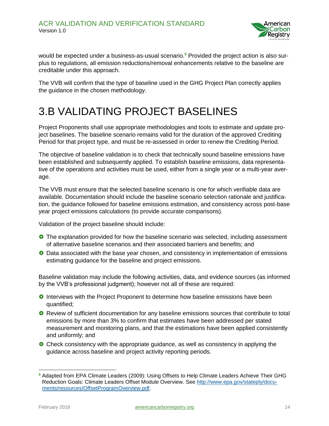

would be expected under a business-as-usual scenario.**<sup>5</sup>** Provided the project action is also surplus to regulations, all emission reductions/removal enhancements relative to the baseline are creditable under this approach.

The VVB will confirm that the type of baseline used in the GHG Project Plan correctly applies the guidance in the chosen methodology.

#### <span id="page-13-0"></span>3.B VALIDATING PROJECT BASELINES

Project Proponents shall use appropriate methodologies and tools to estimate and update project baselines. The baseline scenario remains valid for the duration of the approved Crediting Period for that project type, and must be re-assessed in order to renew the Crediting Period.

The objective of baseline validation is to check that technically sound baseline emissions have been established and subsequently applied. To establish baseline emissions, data representative of the operations and activities must be used, either from a single year or a multi-year average.

The VVB must ensure that the selected baseline scenario is one for which verifiable data are available. Documentation should include the baseline scenario selection rationale and justification, the guidance followed for baseline emissions estimation, and consistency across post-base year project emissions calculations (to provide accurate comparisons).

Validation of the project baseline should include:

- **O** The explanation provided for how the baseline scenario was selected, including assessment of alternative baseline scenarios and their associated barriers and benefits; and
- **O** Data associated with the base year chosen, and consistency in implementation of emissions estimating guidance for the baseline and project emissions.

Baseline validation may include the following activities, data, and evidence sources (as informed by the VVB's professional judgment); however not all of these are required:

- **O** Interviews with the Project Proponent to determine how baseline emissions have been quantified;
- **O** Review of sufficient documentation for any baseline emissions sources that contribute to total emissions by more than 3% to confirm that estimates have been addressed per stated measurement and monitoring plans, and that the estimations have been applied consistently and uniformly; and
- **O** Check consistency with the appropriate guidance, as well as consistency in applying the guidance across baseline and project activity reporting periods.

 **<sup>5</sup>** Adapted from EPA Climate Leaders (2009): Using Offsets to Help Climate Leaders Achieve Their GHG Reduction Goals: Climate Leaders Offset Module Overview. See [http://www.epa.gov/stateply/docu](http://www.epa.gov/stateply/documents/resources/OffsetProgramOverview.pdf)[ments/resources/OffsetProgramOverview.pdf.](http://www.epa.gov/stateply/documents/resources/OffsetProgramOverview.pdf)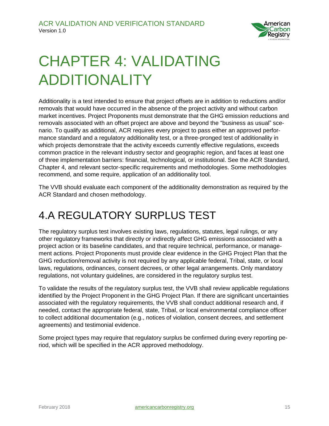

# <span id="page-14-0"></span>CHAPTER 4: VALIDATING ADDITIONALITY

Additionality is a test intended to ensure that project offsets are in addition to reductions and/or removals that would have occurred in the absence of the project activity and without carbon market incentives. Project Proponents must demonstrate that the GHG emission reductions and removals associated with an offset project are above and beyond the "business as usual" scenario. To qualify as additional, ACR requires every project to pass either an approved performance standard and a regulatory additionality test, or a three-pronged test of additionality in which projects demonstrate that the activity exceeds currently effective regulations, exceeds common practice in the relevant industry sector and geographic region, and faces at least one of three implementation barriers: financial, technological, or institutional. See the ACR Standard, Chapter 4, and relevant sector-specific requirements and methodologies. Some methodologies recommend, and some require, application of an additionality tool.

The VVB should evaluate each component of the additionality demonstration as required by the ACR Standard and chosen methodology.

### <span id="page-14-1"></span>4.A REGULATORY SURPLUS TEST

The regulatory surplus test involves existing laws, regulations, statutes, legal rulings, or any other regulatory frameworks that directly or indirectly affect GHG emissions associated with a project action or its baseline candidates, and that require technical, performance, or management actions. Project Proponents must provide clear evidence in the GHG Project Plan that the GHG reduction/removal activity is not required by any applicable federal, Tribal, state, or local laws, regulations, ordinances, consent decrees, or other legal arrangements. Only mandatory regulations, not voluntary guidelines, are considered in the regulatory surplus test.

To validate the results of the regulatory surplus test, the VVB shall review applicable regulations identified by the Project Proponent in the GHG Project Plan. If there are significant uncertainties associated with the regulatory requirements, the VVB shall conduct additional research and, if needed, contact the appropriate federal, state, Tribal, or local environmental compliance officer to collect additional documentation (e.g., notices of violation, consent decrees, and settlement agreements) and testimonial evidence.

Some project types may require that regulatory surplus be confirmed during every reporting period, which will be specified in the ACR approved methodology.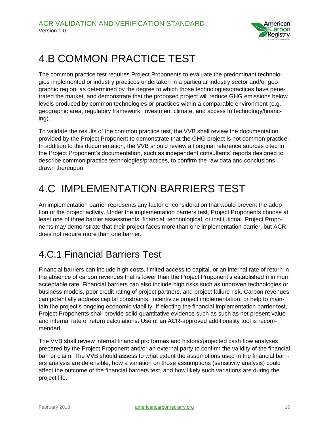

#### <span id="page-15-0"></span>4.B COMMON PRACTICE TEST

The common practice test requires Project Proponents to evaluate the predominant technologies implemented or industry practices undertaken in a particular industry sector and/or geographic region, as determined by the degree to which those technologies/practices have penetrated the market, and demonstrate that the proposed project will reduce GHG emissions below levels produced by common technologies or practices within a comparable environment (e.g., geographic area, regulatory framework, investment climate, and access to technology/financing).

To validate the results of the common practice test, the VVB shall review the documentation provided by the Project Proponent to demonstrate that the GHG project is not common practice. In addition to this documentation, the VVB should review all original reference sources cited in the Project Proponent's documentation, such as independent consultants' reports designed to describe common practice technologies/practices, to confirm the raw data and conclusions drawn thereupon.

### <span id="page-15-1"></span>4.C IMPLEMENTATION BARRIERS TEST

An implementation barrier represents any factor or consideration that would prevent the adoption of the project activity. Under the implementation barriers test, Project Proponents choose at least one of three barrier assessments: financial, technological, or institutional. Project Proponents may demonstrate that their project faces more than one implementation barrier, but ACR does not require more than one barrier.

#### <span id="page-15-2"></span>4.C.1 Financial Barriers Test

Financial barriers can include high costs, limited access to capital, or an internal rate of return in the absence of carbon revenues that is lower than the Project Proponent's established minimum acceptable rate. Financial barriers can also include high risks such as unproven technologies or business models, poor credit rating of project partners, and project failure risk. Carbon revenues can potentially address capital constraints, incentivize project implementation, or help to maintain the project's ongoing economic viability. If electing the financial implementation barrier test, Project Proponents shall provide solid quantitative evidence such as such as net present value and internal rate of return calculations. Use of an ACR-approved additionality tool is recommended.

The VVB shall review internal financial pro formas and historic/projected cash flow analyses prepared by the Project Proponent and/or an external party to confirm the validity of the financial barrier claim. The VVB should assess to what extent the assumptions used in the financial barriers analysis are defensible, how a variation on those assumptions (sensitivity analysis) could affect the outcome of the financial barriers test, and how likely such variations are during the project life.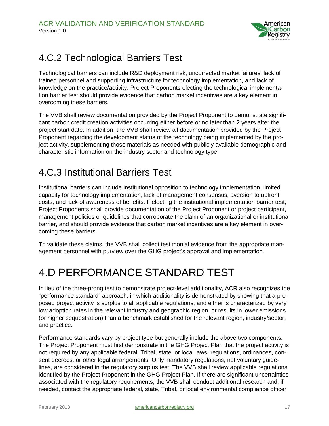

#### <span id="page-16-0"></span>4.C.2 Technological Barriers Test

Technological barriers can include R&D deployment risk, uncorrected market failures, lack of trained personnel and supporting infrastructure for technology implementation, and lack of knowledge on the practice/activity. Project Proponents electing the technological implementation barrier test should provide evidence that carbon market incentives are a key element in overcoming these barriers.

The VVB shall review documentation provided by the Project Proponent to demonstrate significant carbon credit creation activities occurring either before or no later than 2 years after the project start date. In addition, the VVB shall review all documentation provided by the Project Proponent regarding the development status of the technology being implemented by the project activity, supplementing those materials as needed with publicly available demographic and characteristic information on the industry sector and technology type.

#### <span id="page-16-1"></span>4.C.3 Institutional Barriers Test

Institutional barriers can include institutional opposition to technology implementation, limited capacity for technology implementation, lack of management consensus, aversion to upfront costs, and lack of awareness of benefits. If electing the institutional implementation barrier test, Project Proponents shall provide documentation of the Project Proponent or project participant, management policies or guidelines that corroborate the claim of an organizational or institutional barrier, and should provide evidence that carbon market incentives are a key element in overcoming these barriers.

To validate these claims, the VVB shall collect testimonial evidence from the appropriate management personnel with purview over the GHG project's approval and implementation.

### <span id="page-16-2"></span>4.D PERFORMANCE STANDARD TEST

In lieu of the three-prong test to demonstrate project-level additionality, ACR also recognizes the "performance standard" approach, in which additionality is demonstrated by showing that a proposed project activity is surplus to all applicable regulations, and either is characterized by very low adoption rates in the relevant industry and geographic region, or results in lower emissions (or higher sequestration) than a benchmark established for the relevant region, industry/sector, and practice.

Performance standards vary by project type but generally include the above two components. The Project Proponent must first demonstrate in the GHG Project Plan that the project activity is not required by any applicable federal, Tribal, state, or local laws, regulations, ordinances, consent decrees, or other legal arrangements. Only mandatory regulations, not voluntary guidelines, are considered in the regulatory surplus test. The VVB shall review applicable regulations identified by the Project Proponent in the GHG Project Plan. If there are significant uncertainties associated with the regulatory requirements, the VVB shall conduct additional research and, if needed, contact the appropriate federal, state, Tribal, or local environmental compliance officer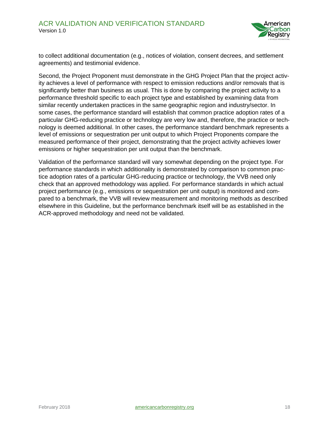

to collect additional documentation (e.g., notices of violation, consent decrees, and settlement agreements) and testimonial evidence.

Second, the Project Proponent must demonstrate in the GHG Project Plan that the project activity achieves a level of performance with respect to emission reductions and/or removals that is significantly better than business as usual. This is done by comparing the project activity to a performance threshold specific to each project type and established by examining data from similar recently undertaken practices in the same geographic region and industry/sector. In some cases, the performance standard will establish that common practice adoption rates of a particular GHG-reducing practice or technology are very low and, therefore, the practice or technology is deemed additional. In other cases, the performance standard benchmark represents a level of emissions or sequestration per unit output to which Project Proponents compare the measured performance of their project, demonstrating that the project activity achieves lower emissions or higher sequestration per unit output than the benchmark.

Validation of the performance standard will vary somewhat depending on the project type. For performance standards in which additionality is demonstrated by comparison to common practice adoption rates of a particular GHG-reducing practice or technology, the VVB need only check that an approved methodology was applied. For performance standards in which actual project performance (e.g., emissions or sequestration per unit output) is monitored and compared to a benchmark, the VVB will review measurement and monitoring methods as described elsewhere in this Guideline, but the performance benchmark itself will be as established in the ACR-approved methodology and need not be validated.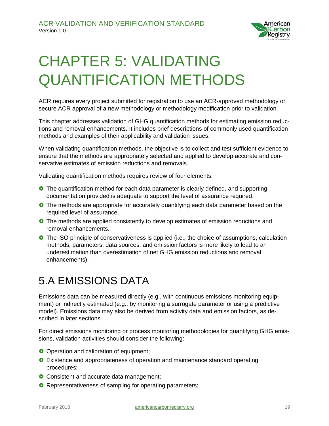

# <span id="page-18-0"></span>CHAPTER 5: VALIDATING QUANTIFICATION METHODS

ACR requires every project submitted for registration to use an ACR-approved methodology or secure ACR approval of a new methodology or methodology modification prior to validation.

This chapter addresses validation of GHG quantification methods for estimating emission reductions and removal enhancements. It includes brief descriptions of commonly used quantification methods and examples of their applicability and validation issues.

When validating quantification methods, the objective is to collect and test sufficient evidence to ensure that the methods are appropriately selected and applied to develop accurate and conservative estimates of emission reductions and removals.

Validating quantification methods requires review of four elements:

- **O** The quantification method for each data parameter is clearly defined, and supporting documentation provided is adequate to support the level of assurance required.
- **O** The methods are appropriate for accurately quantifying each data parameter based on the required level of assurance.
- **O** The methods are applied consistently to develop estimates of emission reductions and removal enhancements.
- **O** The ISO principle of conservativeness is applied (i.e., the choice of assumptions, calculation methods, parameters, data sources, and emission factors is more likely to lead to an underestimation than overestimation of net GHG emission reductions and removal enhancements).

#### <span id="page-18-1"></span>5.A EMISSIONS DATA

Emissions data can be measured directly (e.g., with continuous emissions monitoring equipment) or indirectly estimated (e.g., by monitoring a surrogate parameter or using a predictive model). Emissions data may also be derived from activity data and emission factors, as described in later sections.

For direct emissions monitoring or process monitoring methodologies for quantifying GHG emissions, validation activities should consider the following:

- O Operation and calibration of equipment;
- **O** Existence and appropriateness of operation and maintenance standard operating procedures;
- **O** Consistent and accurate data management;
- **O** Representativeness of sampling for operating parameters;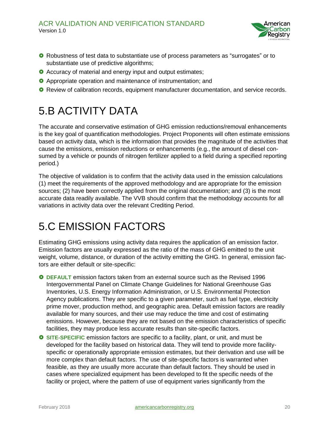

- **O** Robustness of test data to substantiate use of process parameters as "surrogates" or to substantiate use of predictive algorithms;
- **O** Accuracy of material and energy input and output estimates;
- **O** Appropriate operation and maintenance of instrumentation; and
- <span id="page-19-0"></span>**O** Review of calibration records, equipment manufacturer documentation, and service records.

#### 5.B ACTIVITY DATA

The accurate and conservative estimation of GHG emission reductions/removal enhancements is the key goal of quantification methodologies. Project Proponents will often estimate emissions based on activity data, which is the information that provides the magnitude of the activities that cause the emissions, emission reductions or enhancements (e.g., the amount of diesel consumed by a vehicle or pounds of nitrogen fertilizer applied to a field during a specified reporting period.)

The objective of validation is to confirm that the activity data used in the emission calculations (1) meet the requirements of the approved methodology and are appropriate for the emission sources; (2) have been correctly applied from the original documentation; and (3) is the most accurate data readily available. The VVB should confirm that the methodology accounts for all variations in activity data over the relevant Crediting Period.

#### <span id="page-19-1"></span>5.C EMISSION FACTORS

Estimating GHG emissions using activity data requires the application of an emission factor. Emission factors are usually expressed as the ratio of the mass of GHG emitted to the unit weight, volume, distance, or duration of the activity emitting the GHG. In general, emission factors are either default or site-specific:

- **DEFAULT** emission factors taken from an external source such as the Revised 1996 Intergovernmental Panel on Climate Change Guidelines for National Greenhouse Gas Inventories, U.S. Energy Information Administration, or U.S. Environmental Protection Agency publications. They are specific to a given parameter, such as fuel type, electricity prime mover, production method, and geographic area. Default emission factors are readily available for many sources, and their use may reduce the time and cost of estimating emissions. However, because they are not based on the emission characteristics of specific facilities, they may produce less accurate results than site-specific factors.
- **O** SITE-SPECIFIC emission factors are specific to a facility, plant, or unit, and must be developed for the facility based on historical data. They will tend to provide more facilityspecific or operationally appropriate emission estimates, but their derivation and use will be more complex than default factors. The use of site-specific factors is warranted when feasible, as they are usually more accurate than default factors. They should be used in cases where specialized equipment has been developed to fit the specific needs of the facility or project, where the pattern of use of equipment varies significantly from the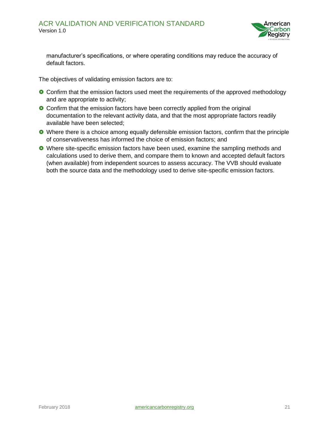

manufacturer's specifications, or where operating conditions may reduce the accuracy of default factors.

The objectives of validating emission factors are to:

- **O** Confirm that the emission factors used meet the requirements of the approved methodology and are appropriate to activity;
- **O** Confirm that the emission factors have been correctly applied from the original documentation to the relevant activity data, and that the most appropriate factors readily available have been selected;
- **O** Where there is a choice among equally defensible emission factors, confirm that the principle of conservativeness has informed the choice of emission factors; and
- Where site-specific emission factors have been used, examine the sampling methods and calculations used to derive them, and compare them to known and accepted default factors (when available) from independent sources to assess accuracy. The VVB should evaluate both the source data and the methodology used to derive site-specific emission factors.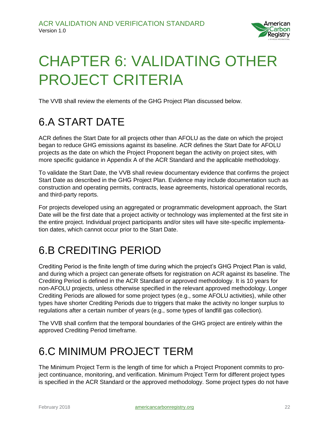

# <span id="page-21-0"></span>CHAPTER 6: VALIDATING OTHER PROJECT CRITERIA

The VVB shall review the elements of the GHG Project Plan discussed below.

#### <span id="page-21-1"></span>6.A START DATE

ACR defines the Start Date for all projects other than AFOLU as the date on which the project began to reduce GHG emissions against its baseline. ACR defines the Start Date for AFOLU projects as the date on which the Project Proponent began the activity on project sites, with more specific guidance in Appendix A of the ACR Standard and the applicable methodology.

To validate the Start Date, the VVB shall review documentary evidence that confirms the project Start Date as described in the GHG Project Plan. Evidence may include documentation such as construction and operating permits, contracts, lease agreements, historical operational records, and third-party reports.

For projects developed using an aggregated or programmatic development approach, the Start Date will be the first date that a project activity or technology was implemented at the first site in the entire project. Individual project participants and/or sites will have site-specific implementation dates, which cannot occur prior to the Start Date.

### <span id="page-21-2"></span>6.B CREDITING PERIOD

Crediting Period is the finite length of time during which the project's GHG Project Plan is valid, and during which a project can generate offsets for registration on ACR against its baseline. The Crediting Period is defined in the ACR Standard or approved methodology. It is 10 years for non-AFOLU projects, unless otherwise specified in the relevant approved methodology. Longer Crediting Periods are allowed for some project types (e.g., some AFOLU activities), while other types have shorter Crediting Periods due to triggers that make the activity no longer surplus to regulations after a certain number of years (e.g., some types of landfill gas collection).

The VVB shall confirm that the temporal boundaries of the GHG project are entirely within the approved Crediting Period timeframe.

### <span id="page-21-3"></span>6.C MINIMUM PROJECT TERM

The Minimum Project Term is the length of time for which a Project Proponent commits to project continuance, monitoring, and verification. Minimum Project Term for different project types is specified in the ACR Standard or the approved methodology. Some project types do not have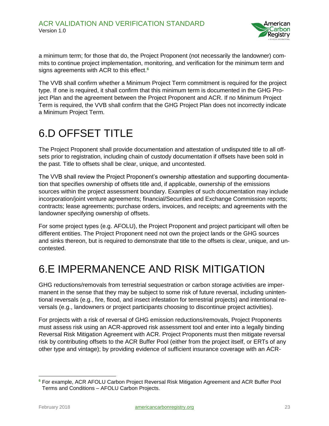

a minimum term; for those that do, the Project Proponent (not necessarily the landowner) commits to continue project implementation, monitoring, and verification for the minimum term and signs agreements with ACR to this effect.**<sup>6</sup>**

The VVB shall confirm whether a Minimum Project Term commitment is required for the project type. If one is required, it shall confirm that this minimum term is documented in the GHG Project Plan and the agreement between the Project Proponent and ACR. If no Minimum Project Term is required, the VVB shall confirm that the GHG Project Plan does not incorrectly indicate a Minimum Project Term.

#### <span id="page-22-0"></span>6.D OFFSET TITLE

The Project Proponent shall provide documentation and attestation of undisputed title to all offsets prior to registration, including chain of custody documentation if offsets have been sold in the past. Title to offsets shall be clear, unique, and uncontested.

The VVB shall review the Project Proponent's ownership attestation and supporting documentation that specifies ownership of offsets title and, if applicable, ownership of the emissions sources within the project assessment boundary. Examples of such documentation may include incorporation/joint venture agreements; financial/Securities and Exchange Commission reports; contracts; lease agreements; purchase orders, invoices, and receipts; and agreements with the landowner specifying ownership of offsets.

For some project types (e.g. AFOLU), the Project Proponent and project participant will often be different entities. The Project Proponent need not own the project lands or the GHG sources and sinks thereon, but is required to demonstrate that title to the offsets is clear, unique, and uncontested.

#### <span id="page-22-1"></span>6.E IMPERMANENCE AND RISK MITIGATION

GHG reductions/removals from terrestrial sequestration or carbon storage activities are impermanent in the sense that they may be subject to some risk of future reversal, including unintentional reversals (e.g., fire, flood, and insect infestation for terrestrial projects) and intentional reversals (e.g., landowners or project participants choosing to discontinue project activities).

For projects with a risk of reversal of GHG emission reductions/removals, Project Proponents must assess risk using an ACR-approved risk assessment tool and enter into a legally binding Reversal Risk Mitigation Agreement with ACR. Project Proponents must then mitigate reversal risk by contributing offsets to the ACR Buffer Pool (either from the project itself, or ERTs of any other type and vintage); by providing evidence of sufficient insurance coverage with an ACR-

 **<sup>6</sup>** For example, ACR AFOLU Carbon Project Reversal Risk Mitigation Agreement and ACR Buffer Pool Terms and Conditions – AFOLU Carbon Projects.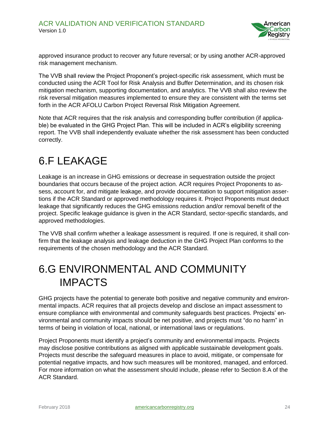

approved insurance product to recover any future reversal; or by using another ACR-approved risk management mechanism.

The VVB shall review the Project Proponent's project-specific risk assessment, which must be conducted using the ACR Tool for Risk Analysis and Buffer Determination, and its chosen risk mitigation mechanism, supporting documentation, and analytics. The VVB shall also review the risk reversal mitigation measures implemented to ensure they are consistent with the terms set forth in the ACR AFOLU Carbon Project Reversal Risk Mitigation Agreement.

Note that ACR requires that the risk analysis and corresponding buffer contribution (if applicable) be evaluated in the GHG Project Plan. This will be included in ACR's eligibility screening report. The VVB shall independently evaluate whether the risk assessment has been conducted correctly.

#### <span id="page-23-0"></span>6.F LEAKAGE

Leakage is an increase in GHG emissions or decrease in sequestration outside the project boundaries that occurs because of the project action. ACR requires Project Proponents to assess, account for, and mitigate leakage, and provide documentation to support mitigation assertions if the ACR Standard or approved methodology requires it. Project Proponents must deduct leakage that significantly reduces the GHG emissions reduction and/or removal benefit of the project. Specific leakage guidance is given in the ACR Standard, sector-specific standards, and approved methodologies.

The VVB shall confirm whether a leakage assessment is required. If one is required, it shall confirm that the leakage analysis and leakage deduction in the GHG Project Plan conforms to the requirements of the chosen methodology and the ACR Standard.

#### <span id="page-23-1"></span>6.G ENVIRONMENTAL AND COMMUNITY IMPACTS

GHG projects have the potential to generate both positive and negative community and environmental impacts. ACR requires that all projects develop and disclose an impact assessment to ensure compliance with environmental and community safeguards best practices. Projects' environmental and community impacts should be net positive, and projects must "do no harm" in terms of being in violation of local, national, or international laws or regulations.

Project Proponents must identify a project's community and environmental impacts. Projects may disclose positive contributions as aligned with applicable sustainable development goals. Projects must describe the safeguard measures in place to avoid, mitigate, or compensate for potential negative impacts, and how such measures will be monitored, managed, and enforced. For more information on what the assessment should include, please refer to Section 8.A of the ACR Standard.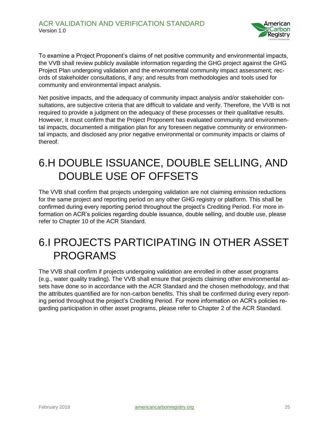

To examine a Project Proponent's claims of net positive community and environmental impacts, the VVB shall review publicly available information regarding the GHG project against the GHG Project Plan undergoing validation and the environmental community impact assessment; records of stakeholder consultations, if any; and results from methodologies and tools used for community and environmental impact analysis.

Net positive impacts, and the adequacy of community impact analysis and/or stakeholder consultations, are subjective criteria that are difficult to validate and verify. Therefore, the VVB is not required to provide a judgment on the adequacy of these processes or their qualitative results. However, it must confirm that the Project Proponent has evaluated community and environmental impacts, documented a mitigation plan for any foreseen negative community or environmental impacts, and disclosed any prior negative environmental or community impacts or claims of thereof.

#### <span id="page-24-0"></span>6.H DOUBLE ISSUANCE, DOUBLE SELLING, AND DOUBLE USE OF OFFSETS

The VVB shall confirm that projects undergoing validation are not claiming emission reductions for the same project and reporting period on any other GHG registry or platform. This shall be confirmed during every reporting period throughout the project's Crediting Period. For more information on ACR's policies regarding double issuance, double selling, and double use, please refer to Chapter 10 of the ACR Standard.

#### <span id="page-24-1"></span>6.I PROJECTS PARTICIPATING IN OTHER ASSET PROGRAMS

The VVB shall confirm if projects undergoing validation are enrolled in other asset programs (e.g., water quality trading). The VVB shall ensure that projects claiming other environmental assets have done so in accordance with the ACR Standard and the chosen methodology, and that the attributes quantified are for non-carbon benefits. This shall be confirmed during every reporting period throughout the project's Crediting Period. For more information on ACR's policies regarding participation in other asset programs, please refer to Chapter 2 of the ACR Standard.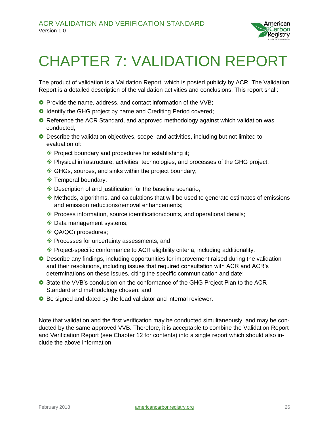

### <span id="page-25-0"></span>CHAPTER 7: VALIDATION REPORT

The product of validation is a Validation Report, which is posted publicly by ACR. The Validation Report is a detailed description of the validation activities and conclusions. This report shall:

- **O** Provide the name, address, and contact information of the VVB;
- **O** Identify the GHG project by name and Crediting Period covered;
- **O** Reference the ACR Standard, and approved methodology against which validation was conducted;
- Describe the validation objectives, scope, and activities, including but not limited to evaluation of:
	- $\diamond$  Project boundary and procedures for establishing it;
	- Physical infrastructure, activities, technologies, and processes of the GHG project;
	- ◆ GHGs, sources, and sinks within the project boundary;
	- **EXECTE** Temporal boundary;
	- Description of and justification for the baseline scenario;
	- Methods, algorithms, and calculations that will be used to generate estimates of emissions and emission reductions/removal enhancements;
	- Process information, source identification/counts, and operational details;
	- ◆ Data management systems;
	- ◆ QA/QC) procedures;
	- ◆ Processes for uncertainty assessments; and
	- $\textcircled{*}$  Project-specific conformance to ACR eligibility criteria, including additionality.
- Describe any findings, including opportunities for improvement raised during the validation and their resolutions, including issues that required consultation with ACR and ACR's determinations on these issues, citing the specific communication and date;
- **O** State the VVB's conclusion on the conformance of the GHG Project Plan to the ACR Standard and methodology chosen; and
- **O** Be signed and dated by the lead validator and internal reviewer.

Note that validation and the first verification may be conducted simultaneously, and may be conducted by the same approved VVB. Therefore, it is acceptable to combine the Validation Report and Verification Report (see Chapter 12 for contents) into a single report which should also include the above information.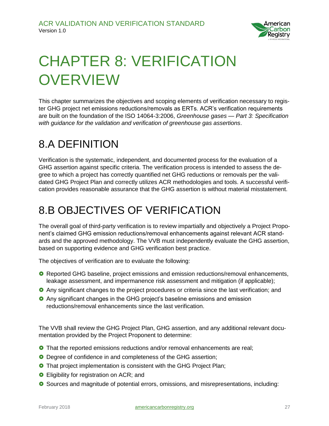

# <span id="page-26-0"></span>CHAPTER 8: VERIFICATION **OVERVIEW**

This chapter summarizes the objectives and scoping elements of verification necessary to register GHG project net emissions reductions/removals as ERTs. ACR's verification requirements are built on the foundation of the ISO 14064-3:2006, *Greenhouse gases — Part 3: Specification with guidance for the validation and verification of greenhouse gas assertions*.

#### <span id="page-26-1"></span>8.A DEFINITION

Verification is the systematic, independent, and documented process for the evaluation of a GHG assertion against specific criteria. The verification process is intended to assess the degree to which a project has correctly quantified net GHG reductions or removals per the validated GHG Project Plan and correctly utilizes ACR methodologies and tools. A successful verification provides reasonable assurance that the GHG assertion is without material misstatement.

#### <span id="page-26-2"></span>8.B OBJECTIVES OF VERIFICATION

The overall goal of third-party verification is to review impartially and objectively a Project Proponent's claimed GHG emission reductions/removal enhancements against relevant ACR standards and the approved methodology. The VVB must independently evaluate the GHG assertion, based on supporting evidence and GHG verification best practice.

The objectives of verification are to evaluate the following:

- **O** Reported GHG baseline, project emissions and emission reductions/removal enhancements, leakage assessment, and impermanence risk assessment and mitigation (if applicable);
- **O** Any significant changes to the project procedures or criteria since the last verification; and
- Any significant changes in the GHG project's baseline emissions and emission reductions/removal enhancements since the last verification.

The VVB shall review the GHG Project Plan, GHG assertion, and any additional relevant documentation provided by the Project Proponent to determine:

- **O** That the reported emissions reductions and/or removal enhancements are real;
- **O** Degree of confidence in and completeness of the GHG assertion;
- **O** That project implementation is consistent with the GHG Project Plan;
- **•** Eligibility for registration on ACR; and
- **O** Sources and magnitude of potential errors, omissions, and misrepresentations, including: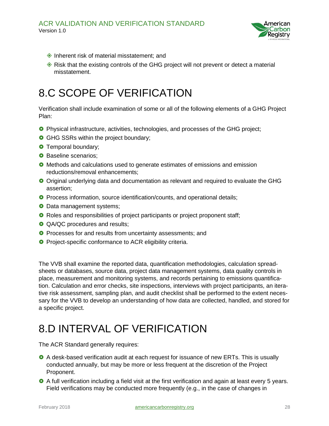

- $\Diamond$  Inherent risk of material misstatement; and
- ◆ Risk that the existing controls of the GHG project will not prevent or detect a material misstatement.

#### <span id="page-27-0"></span>8.C SCOPE OF VERIFICATION

Verification shall include examination of some or all of the following elements of a GHG Project Plan:

- Physical infrastructure, activities, technologies, and processes of the GHG project;
- **GHG SSRs within the project boundary;**
- **O** Temporal boundary;
- **O** Baseline scenarios;
- **O** Methods and calculations used to generate estimates of emissions and emission reductions/removal enhancements;
- Original underlying data and documentation as relevant and required to evaluate the GHG assertion;
- **O** Process information, source identification/counts, and operational details;
- **O** Data management systems;
- **•** Roles and responsibilities of project participants or project proponent staff;
- **QA/QC** procedures and results;
- **O** Processes for and results from uncertainty assessments; and
- **O** Project-specific conformance to ACR eligibility criteria.

The VVB shall examine the reported data, quantification methodologies, calculation spreadsheets or databases, source data, project data management systems, data quality controls in place, measurement and monitoring systems, and records pertaining to emissions quantification. Calculation and error checks, site inspections, interviews with project participants, an iterative risk assessment, sampling plan, and audit checklist shall be performed to the extent necessary for the VVB to develop an understanding of how data are collected, handled, and stored for a specific project.

#### <span id="page-27-1"></span>8.D INTERVAL OF VERIFICATION

The ACR Standard generally requires:

- **•** A desk-based verification audit at each request for issuance of new ERTs. This is usually conducted annually, but may be more or less frequent at the discretion of the Project Proponent.
- A full verification including a field visit at the first verification and again at least every 5 years. Field verifications may be conducted more frequently (e.g., in the case of changes in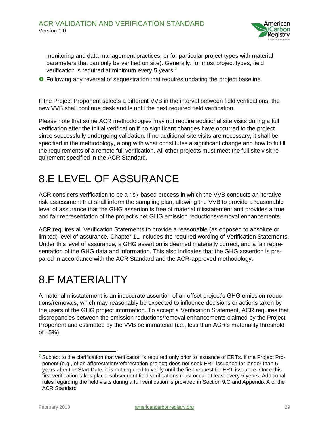

monitoring and data management practices, or for particular project types with material parameters that can only be verified on site). Generally, for most project types, field verification is required at minimum every 5 years. **7**

**O** Following any reversal of sequestration that requires updating the project baseline.

If the Project Proponent selects a different VVB in the interval between field verifications, the new VVB shall continue desk audits until the next required field verification.

Please note that some ACR methodologies may not require additional site visits during a full verification after the initial verification if no significant changes have occurred to the project since successfully undergoing validation. If no additional site visits are necessary, it shall be specified in the methodology, along with what constitutes a significant change and how to fulfill the requirements of a remote full verification. All other projects must meet the full site visit requirement specified in the ACR Standard.

#### <span id="page-28-0"></span>8.E LEVEL OF ASSURANCE

ACR considers verification to be a risk-based process in which the VVB conducts an iterative risk assessment that shall inform the sampling plan, allowing the VVB to provide a reasonable level of assurance that the GHG assertion is free of material misstatement and provides a true and fair representation of the project's net GHG emission reductions/removal enhancements.

ACR requires all Verification Statements to provide a reasonable (as opposed to absolute or limited) level of assurance. Chapter 11 includes the required wording of Verification Statements. Under this level of assurance, a GHG assertion is deemed materially correct, and a fair representation of the GHG data and information. This also indicates that the GHG assertion is prepared in accordance with the ACR Standard and the ACR-approved methodology.

#### <span id="page-28-1"></span>8.F MATERIALITY

A material misstatement is an inaccurate assertion of an offset project's GHG emission reductions/removals, which may reasonably be expected to influence decisions or actions taken by the users of the GHG project information. To accept a Verification Statement, ACR requires that discrepancies between the emission reductions/removal enhancements claimed by the Project Proponent and estimated by the VVB be immaterial (i.e., less than ACR's materiality threshold of  $\pm 5\%$ ).

**<sup>7</sup>** Subject to the clarification that verification is required only prior to issuance of ERTs. If the Project Proponent (e.g., of an afforestation/reforestation project) does not seek ERT issuance for longer than 5 years after the Start Date, it is not required to verify until the first request for ERT issuance. Once this first verification takes place, subsequent field verifications must occur at least every 5 years. Additional rules regarding the field visits during a full verification is provided in Section 9.C and Appendix A of the ACR Standard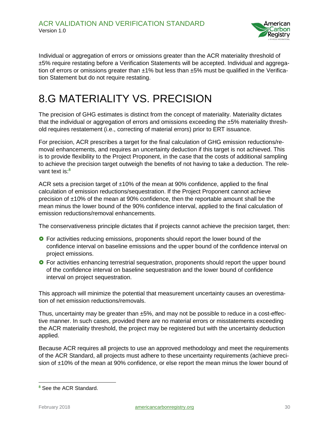

Individual or aggregation of errors or omissions greater than the ACR materiality threshold of ±5% require restating before a Verification Statements will be accepted. Individual and aggregation of errors or omissions greater than  $\pm$ 1% but less than  $\pm$ 5% must be qualified in the Verification Statement but do not require restating.

#### <span id="page-29-0"></span>8.G MATERIALITY VS. PRECISION

The precision of GHG estimates is distinct from the concept of materiality. Materiality dictates that the individual or aggregation of errors and omissions exceeding the ±5% materiality threshold requires restatement (i.e., correcting of material errors) prior to ERT issuance.

For precision, ACR prescribes a target for the final calculation of GHG emission reductions/removal enhancements, and requires an uncertainty deduction if this target is not achieved. This is to provide flexibility to the Project Proponent, in the case that the costs of additional sampling to achieve the precision target outweigh the benefits of not having to take a deduction. The relevant text is:**<sup>8</sup>**

ACR sets a precision target of  $\pm$ 10% of the mean at 90% confidence, applied to the final calculation of emission reductions/sequestration. If the Project Proponent cannot achieve precision of ±10% of the mean at 90% confidence, then the reportable amount shall be the mean minus the lower bound of the 90% confidence interval, applied to the final calculation of emission reductions/removal enhancements.

The conservativeness principle dictates that if projects cannot achieve the precision target, then:

- **•** For activities reducing emissions, proponents should report the lower bound of the confidence interval on baseline emissions and the upper bound of the confidence interval on project emissions.
- **•** For activities enhancing terrestrial sequestration, proponents should report the upper bound of the confidence interval on baseline sequestration and the lower bound of confidence interval on project sequestration.

This approach will minimize the potential that measurement uncertainty causes an overestimation of net emission reductions/removals.

Thus, uncertainty may be greater than  $\pm 5\%$ , and may not be possible to reduce in a cost-effective manner. In such cases, provided there are no material errors or misstatements exceeding the ACR materiality threshold, the project may be registered but with the uncertainty deduction applied.

Because ACR requires all projects to use an approved methodology and meet the requirements of the ACR Standard, all projects must adhere to these uncertainty requirements (achieve precision of ±10% of the mean at 90% confidence, or else report the mean minus the lower bound of

 $\overline{a}$ 

**<sup>8</sup>** See the ACR Standard.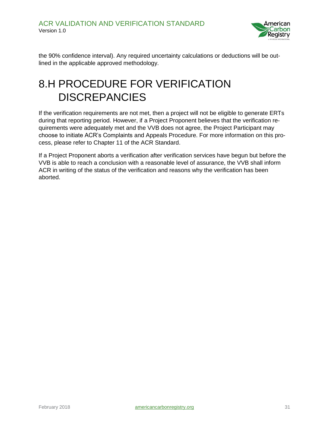

the 90% confidence interval). Any required uncertainty calculations or deductions will be outlined in the applicable approved methodology.

#### <span id="page-30-0"></span>8.H PROCEDURE FOR VERIFICATION **DISCREPANCIES**

If the verification requirements are not met, then a project will not be eligible to generate ERTs during that reporting period. However, if a Project Proponent believes that the verification requirements were adequately met and the VVB does not agree, the Project Participant may choose to initiate ACR's Complaints and Appeals Procedure. For more information on this process, please refer to Chapter 11 of the ACR Standard.

If a Project Proponent aborts a verification after verification services have begun but before the VVB is able to reach a conclusion with a reasonable level of assurance, the VVB shall inform ACR in writing of the status of the verification and reasons why the verification has been aborted.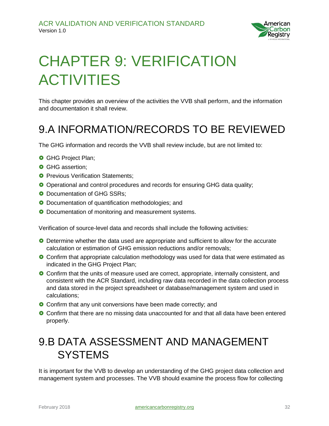

# <span id="page-31-0"></span>CHAPTER 9: VERIFICATION ACTIVITIES

This chapter provides an overview of the activities the VVB shall perform, and the information and documentation it shall review.

#### <span id="page-31-1"></span>9.A INFORMATION/RECORDS TO BE REVIEWED

The GHG information and records the VVB shall review include, but are not limited to:

- **GHG Project Plan;**
- **O** GHG assertion:
- **O** Previous Verification Statements:
- O Operational and control procedures and records for ensuring GHG data quality;
- **O** Documentation of GHG SSRs;
- **O** Documentation of quantification methodologies; and
- **O** Documentation of monitoring and measurement systems.

Verification of source-level data and records shall include the following activities:

- **O** Determine whether the data used are appropriate and sufficient to allow for the accurate calculation or estimation of GHG emission reductions and/or removals;
- **O** Confirm that appropriate calculation methodology was used for data that were estimated as indicated in the GHG Project Plan;
- Confirm that the units of measure used are correct, appropriate, internally consistent, and consistent with the ACR Standard, including raw data recorded in the data collection process and data stored in the project spreadsheet or database/management system and used in calculations;
- **O** Confirm that any unit conversions have been made correctly; and
- Confirm that there are no missing data unaccounted for and that all data have been entered properly.

#### <span id="page-31-2"></span>9.B DATA ASSESSMENT AND MANAGEMENT **SYSTEMS**

It is important for the VVB to develop an understanding of the GHG project data collection and management system and processes. The VVB should examine the process flow for collecting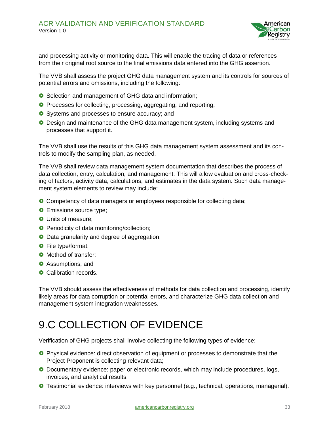

and processing activity or monitoring data. This will enable the tracing of data or references from their original root source to the final emissions data entered into the GHG assertion.

The VVB shall assess the project GHG data management system and its controls for sources of potential errors and omissions, including the following:

- **O** Selection and management of GHG data and information;
- **O** Processes for collecting, processing, aggregating, and reporting;
- **O** Systems and processes to ensure accuracy; and
- **O** Design and maintenance of the GHG data management system, including systems and processes that support it.

The VVB shall use the results of this GHG data management system assessment and its controls to modify the sampling plan, as needed.

The VVB shall review data management system documentation that describes the process of data collection, entry, calculation, and management. This will allow evaluation and cross-checking of factors, activity data, calculations, and estimates in the data system. Such data management system elements to review may include:

- **O** Competency of data managers or employees responsible for collecting data;
- **O** Emissions source type;
- **O** Units of measure;
- **O** Periodicity of data monitoring/collection;
- **O** Data granularity and degree of aggregation;
- **O** File type/format;
- **O** Method of transfer;
- **O** Assumptions; and
- **O** Calibration records.

The VVB should assess the effectiveness of methods for data collection and processing, identify likely areas for data corruption or potential errors, and characterize GHG data collection and management system integration weaknesses.

#### <span id="page-32-0"></span>9.C COLLECTION OF EVIDENCE

Verification of GHG projects shall involve collecting the following types of evidence:

- **O** Physical evidence: direct observation of equipment or processes to demonstrate that the Project Proponent is collecting relevant data;
- **O** Documentary evidence: paper or electronic records, which may include procedures, logs, invoices, and analytical results;
- **O** Testimonial evidence: interviews with key personnel (e.g., technical, operations, managerial).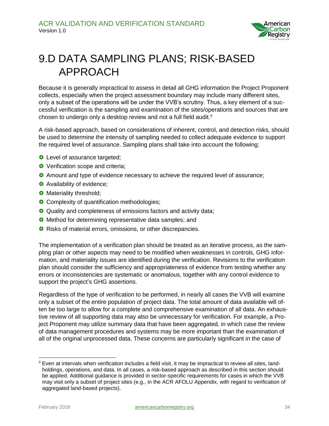

### <span id="page-33-0"></span>9.D DATA SAMPLING PLANS; RISK-BASED APPROACH

Because it is generally impractical to assess in detail all GHG information the Project Proponent collects, especially when the project assessment boundary may include many different sites, only a subset of the operations will be under the VVB's scrutiny. Thus, a key element of a successful verification is the sampling and examination of the sites/operations and sources that are chosen to undergo only a desktop review and not a full field audit.**<sup>9</sup>**

A risk-based approach, based on considerations of inherent, control, and detection risks, should be used to determine the intensity of sampling needed to collect adequate evidence to support the required level of assurance. Sampling plans shall take into account the following:

- **O** Level of assurance targeted;
- **O** Verification scope and criteria;
- Amount and type of evidence necessary to achieve the required level of assurance;
- **O** Availability of evidence;
- **O** Materiality threshold;
- **O** Complexity of quantification methodologies;
- **O** Quality and completeness of emissions factors and activity data;
- **O** Method for determining representative data samples; and
- **O** Risks of material errors, omissions, or other discrepancies.

The implementation of a verification plan should be treated as an iterative process, as the sampling plan or other aspects may need to be modified when weaknesses in controls, GHG information, and materiality issues are identified during the verification. Revisions to the verification plan should consider the sufficiency and appropriateness of evidence from testing whether any errors or inconsistencies are systematic or anomalous, together with any control evidence to support the project's GHG assertions.

Regardless of the type of verification to be performed, in nearly all cases the VVB will examine only a subset of the entire population of project data. The total amount of data available will often be too large to allow for a complete and comprehensive examination of all data. An exhaustive review of all supporting data may also be unnecessary for verification. For example, a Project Proponent may utilize summary data that have been aggregated, in which case the review of data management procedures and systems may be more important than the examination of all of the original unprocessed data. These concerns are particularly significant in the case of

**<sup>9</sup>** Even at intervals when verification includes a field visit, it may be impractical to review all sites, landholdings, operations, and data. In all cases, a risk-based approach as described in this section should be applied. Additional guidance is provided in sector-specific requirements for cases in which the VVB may visit only a subset of project sites (e.g., in the ACR AFOLU Appendix, with regard to verification of aggregated land-based projects).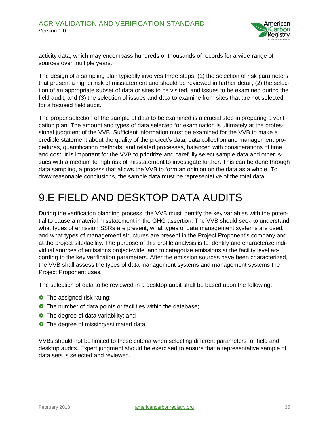

activity data, which may encompass hundreds or thousands of records for a wide range of sources over multiple years.

The design of a sampling plan typically involves three steps: (1) the selection of risk parameters that present a higher risk of misstatement and should be reviewed in further detail; (2) the selection of an appropriate subset of data or sites to be visited, and issues to be examined during the field audit; and (3) the selection of issues and data to examine from sites that are not selected for a focused field audit.

The proper selection of the sample of data to be examined is a crucial step in preparing a verification plan. The amount and types of data selected for examination is ultimately at the professional judgment of the VVB. Sufficient information must be examined for the VVB to make a credible statement about the quality of the project's data, data collection and management procedures, quantification methods, and related processes, balanced with considerations of time and cost. It is important for the VVB to prioritize and carefully select sample data and other issues with a medium to high risk of misstatement to investigate further. This can be done through data sampling, a process that allows the VVB to form an opinion on the data as a whole. To draw reasonable conclusions, the sample data must be representative of the total data.

#### <span id="page-34-0"></span>9.E FIELD AND DESKTOP DATA AUDITS

During the verification planning process, the VVB must identify the key variables with the potential to cause a material misstatement in the GHG assertion. The VVB should seek to understand what types of emission SSRs are present, what types of data management systems are used, and what types of management structures are present in the Project Proponent's company and at the project site/facility. The purpose of this profile analysis is to identify and characterize individual sources of emissions project-wide, and to categorize emissions at the facility level according to the key verification parameters. After the emission sources have been characterized, the VVB shall assess the types of data management systems and management systems the Project Proponent uses.

The selection of data to be reviewed in a desktop audit shall be based upon the following:

- **O** The assigned risk rating;
- **O** The number of data points or facilities within the database;
- **O** The degree of data variability; and
- **O** The degree of missing/estimated data.

VVBs should not be limited to these criteria when selecting different parameters for field and desktop audits. Expert judgment should be exercised to ensure that a representative sample of data sets is selected and reviewed.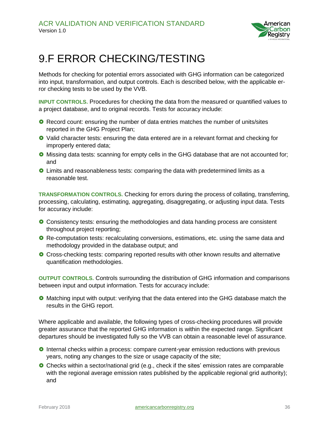

#### <span id="page-35-0"></span>9.F ERROR CHECKING/TESTING

Methods for checking for potential errors associated with GHG information can be categorized into input, transformation, and output controls. Each is described below, with the applicable error checking tests to be used by the VVB.

**INPUT CONTROLS.** Procedures for checking the data from the measured or quantified values to a project database, and to original records. Tests for accuracy include:

- **O** Record count: ensuring the number of data entries matches the number of units/sites reported in the GHG Project Plan;
- Valid character tests: ensuring the data entered are in a relevant format and checking for improperly entered data;
- Missing data tests: scanning for empty cells in the GHG database that are not accounted for; and
- Limits and reasonableness tests: comparing the data with predetermined limits as a reasonable test.

**TRANSFORMATION CONTROLS.** Checking for errors during the process of collating, transferring, processing, calculating, estimating, aggregating, disaggregating, or adjusting input data. Tests for accuracy include:

- **O** Consistency tests: ensuring the methodologies and data handing process are consistent throughout project reporting;
- **O** Re-computation tests: recalculating conversions, estimations, etc. using the same data and methodology provided in the database output; and
- Cross-checking tests: comparing reported results with other known results and alternative quantification methodologies.

**OUTPUT CONTROLS.** Controls surrounding the distribution of GHG information and comparisons between input and output information. Tests for accuracy include:

**O** Matching input with output: verifying that the data entered into the GHG database match the results in the GHG report.

Where applicable and available, the following types of cross-checking procedures will provide greater assurance that the reported GHG information is within the expected range. Significant departures should be investigated fully so the VVB can obtain a reasonable level of assurance.

- **O** Internal checks within a process: compare current-year emission reductions with previous years, noting any changes to the size or usage capacity of the site;
- **O** Checks within a sector/national grid (e.g., check if the sites' emission rates are comparable with the regional average emission rates published by the applicable regional grid authority); and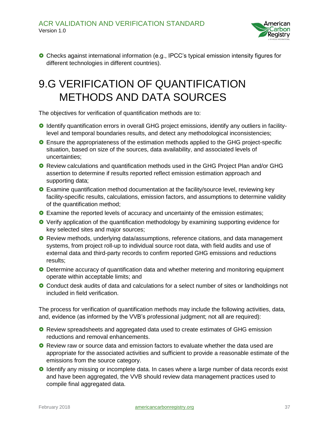

 Checks against international information (e.g., IPCC's typical emission intensity figures for different technologies in different countries).

#### <span id="page-36-0"></span>9.G VERIFICATION OF QUANTIFICATION METHODS AND DATA SOURCES

The objectives for verification of quantification methods are to:

- **O** Identify quantification errors in overall GHG project emissions, identify any outliers in facilitylevel and temporal boundaries results, and detect any methodological inconsistencies;
- Ensure the appropriateness of the estimation methods applied to the GHG project-specific situation, based on size of the sources, data availability, and associated levels of uncertainties;
- **O** Review calculations and quantification methods used in the GHG Project Plan and/or GHG assertion to determine if results reported reflect emission estimation approach and supporting data;
- Examine quantification method documentation at the facility/source level, reviewing key facility-specific results, calculations, emission factors, and assumptions to determine validity of the quantification method;
- **O** Examine the reported levels of accuracy and uncertainty of the emission estimates;
- **O** Verify application of the quantification methodology by examining supporting evidence for key selected sites and major sources;
- **O** Review methods, underlying data/assumptions, reference citations, and data management systems, from project roll-up to individual source root data, with field audits and use of external data and third-party records to confirm reported GHG emissions and reductions results;
- **O** Determine accuracy of quantification data and whether metering and monitoring equipment operate within acceptable limits; and
- **O** Conduct desk audits of data and calculations for a select number of sites or landholdings not included in field verification.

The process for verification of quantification methods may include the following activities, data, and, evidence (as informed by the VVB's professional judgment; not all are required):

- **O** Review spreadsheets and aggregated data used to create estimates of GHG emission reductions and removal enhancements.
- **O** Review raw or source data and emission factors to evaluate whether the data used are appropriate for the associated activities and sufficient to provide a reasonable estimate of the emissions from the source category.
- **O** Identify any missing or incomplete data. In cases where a large number of data records exist and have been aggregated, the VVB should review data management practices used to compile final aggregated data.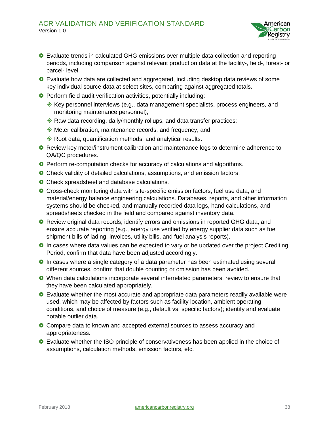

- Evaluate trends in calculated GHG emissions over multiple data collection and reporting periods, including comparison against relevant production data at the facility-, field-, forest- or parcel- level.
- **O** Evaluate how data are collected and aggregated, including desktop data reviews of some key individual source data at select sites, comparing against aggregated totals.
- **O** Perform field audit verification activities, potentially including:
	- $\Diamond$  Key personnel interviews (e.g., data management specialists, process engineers, and monitoring maintenance personnel);
	- ◆ Raw data recording, daily/monthly rollups, and data transfer practices;
	- Meter calibration, maintenance records, and frequency; and
	- ◆ Root data, quantification methods, and analytical results.
- **O** Review key meter/instrument calibration and maintenance logs to determine adherence to QA/QC procedures.
- **O** Perform re-computation checks for accuracy of calculations and algorithms.
- **O** Check validity of detailed calculations, assumptions, and emission factors.
- **O** Check spreadsheet and database calculations.
- Cross-check monitoring data with site-specific emission factors, fuel use data, and material/energy balance engineering calculations. Databases, reports, and other information systems should be checked, and manually recorded data logs, hand calculations, and spreadsheets checked in the field and compared against inventory data.
- **O** Review original data records, identify errors and omissions in reported GHG data, and ensure accurate reporting (e.g., energy use verified by energy supplier data such as fuel shipment bills of lading, invoices, utility bills, and fuel analysis reports).
- **O** In cases where data values can be expected to vary or be updated over the project Crediting Period, confirm that data have been adjusted accordingly.
- **O** In cases where a single category of a data parameter has been estimated using several different sources, confirm that double counting or omission has been avoided.
- When data calculations incorporate several interrelated parameters, review to ensure that they have been calculated appropriately.
- Evaluate whether the most accurate and appropriate data parameters readily available were used, which may be affected by factors such as facility location, ambient operating conditions, and choice of measure (e.g., default vs. specific factors); identify and evaluate notable outlier data.
- **O** Compare data to known and accepted external sources to assess accuracy and appropriateness.
- Evaluate whether the ISO principle of conservativeness has been applied in the choice of assumptions, calculation methods, emission factors, etc.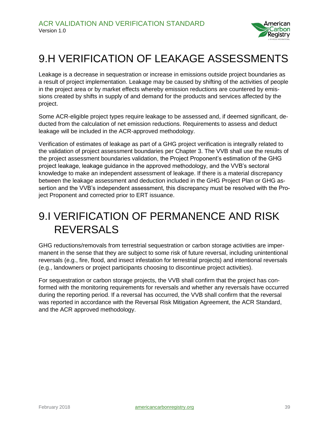

#### <span id="page-38-0"></span>9.H VERIFICATION OF LEAKAGE ASSESSMENTS

Leakage is a decrease in sequestration or increase in emissions outside project boundaries as a result of project implementation. Leakage may be caused by shifting of the activities of people in the project area or by market effects whereby emission reductions are countered by emissions created by shifts in supply of and demand for the products and services affected by the project.

Some ACR-eligible project types require leakage to be assessed and, if deemed significant, deducted from the calculation of net emission reductions. Requirements to assess and deduct leakage will be included in the ACR-approved methodology.

Verification of estimates of leakage as part of a GHG project verification is integrally related to the validation of project assessment boundaries per Chapter 3. The VVB shall use the results of the project assessment boundaries validation, the Project Proponent's estimation of the GHG project leakage, leakage guidance in the approved methodology, and the VVB's sectoral knowledge to make an independent assessment of leakage. If there is a material discrepancy between the leakage assessment and deduction included in the GHG Project Plan or GHG assertion and the VVB's independent assessment, this discrepancy must be resolved with the Project Proponent and corrected prior to ERT issuance.

#### <span id="page-38-1"></span>9.I VERIFICATION OF PERMANENCE AND RISK REVERSALS

GHG reductions/removals from terrestrial sequestration or carbon storage activities are impermanent in the sense that they are subject to some risk of future reversal, including unintentional reversals (e.g., fire, flood, and insect infestation for terrestrial projects) and intentional reversals (e.g., landowners or project participants choosing to discontinue project activities).

For sequestration or carbon storage projects, the VVB shall confirm that the project has conformed with the monitoring requirements for reversals and whether any reversals have occurred during the reporting period. If a reversal has occurred, the VVB shall confirm that the reversal was reported in accordance with the Reversal Risk Mitigation Agreement, the ACR Standard, and the ACR approved methodology.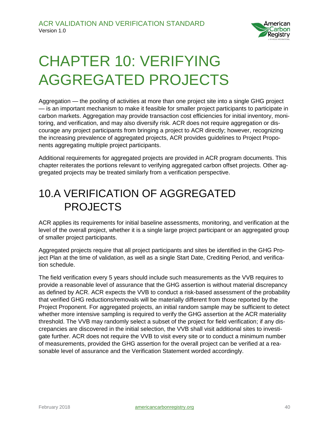

# <span id="page-39-0"></span>CHAPTER 10: VERIFYING AGGREGATED PROJECTS

Aggregation — the pooling of activities at more than one project site into a single GHG project — is an important mechanism to make it feasible for smaller project participants to participate in carbon markets. Aggregation may provide transaction cost efficiencies for initial inventory, monitoring, and verification, and may also diversify risk. ACR does not require aggregation or discourage any project participants from bringing a project to ACR directly; however, recognizing the increasing prevalence of aggregated projects, ACR provides guidelines to Project Proponents aggregating multiple project participants.

Additional requirements for aggregated projects are provided in ACR program documents. This chapter reiterates the portions relevant to verifying aggregated carbon offset projects. Other aggregated projects may be treated similarly from a verification perspective.

#### <span id="page-39-1"></span>10.A VERIFICATION OF AGGREGATED PROJECTS

ACR applies its requirements for initial baseline assessments, monitoring, and verification at the level of the overall project, whether it is a single large project participant or an aggregated group of smaller project participants.

Aggregated projects require that all project participants and sites be identified in the GHG Project Plan at the time of validation, as well as a single Start Date, Crediting Period, and verification schedule.

The field verification every 5 years should include such measurements as the VVB requires to provide a reasonable level of assurance that the GHG assertion is without material discrepancy as defined by ACR. ACR expects the VVB to conduct a risk-based assessment of the probability that verified GHG reductions/removals will be materially different from those reported by the Project Proponent. For aggregated projects, an initial random sample may be sufficient to detect whether more intensive sampling is required to verify the GHG assertion at the ACR materiality threshold. The VVB may randomly select a subset of the project for field verification; if any discrepancies are discovered in the initial selection, the VVB shall visit additional sites to investigate further. ACR does not require the VVB to visit every site or to conduct a minimum number of measurements, provided the GHG assertion for the overall project can be verified at a reasonable level of assurance and the Verification Statement worded accordingly.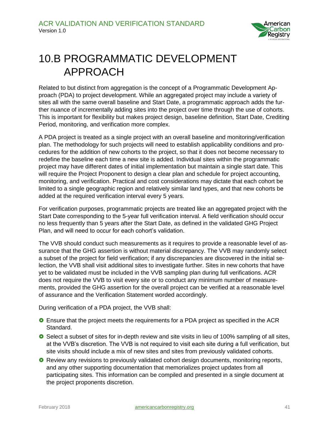

### <span id="page-40-0"></span>10.B PROGRAMMATIC DEVELOPMENT APPROACH

Related to but distinct from aggregation is the concept of a Programmatic Development Approach (PDA) to project development. While an aggregated project may include a variety of sites all with the same overall baseline and Start Date, a programmatic approach adds the further nuance of incrementally adding sites into the project over time through the use of cohorts. This is important for flexibility but makes project design, baseline definition, Start Date, Crediting Period, monitoring, and verification more complex.

A PDA project is treated as a single project with an overall baseline and monitoring/verification plan. The methodology for such projects will need to establish applicability conditions and procedures for the addition of new cohorts to the project, so that it does not become necessary to redefine the baseline each time a new site is added. Individual sites within the programmatic project may have different dates of initial implementation but maintain a single start date. This will require the Project Proponent to design a clear plan and schedule for project accounting, monitoring, and verification. Practical and cost considerations may dictate that each cohort be limited to a single geographic region and relatively similar land types, and that new cohorts be added at the required verification interval every 5 years.

For verification purposes, programmatic projects are treated like an aggregated project with the Start Date corresponding to the 5-year full verification interval. A field verification should occur no less frequently than 5 years after the Start Date, as defined in the validated GHG Project Plan, and will need to occur for each cohort's validation.

The VVB should conduct such measurements as it requires to provide a reasonable level of assurance that the GHG assertion is without material discrepancy. The VVB may randomly select a subset of the project for field verification; if any discrepancies are discovered in the initial selection, the VVB shall visit additional sites to investigate further. Sites in new cohorts that have yet to be validated must be included in the VVB sampling plan during full verifications. ACR does not require the VVB to visit every site or to conduct any minimum number of measurements, provided the GHG assertion for the overall project can be verified at a reasonable level of assurance and the Verification Statement worded accordingly.

During verification of a PDA project, the VVB shall:

- Ensure that the project meets the requirements for a PDA project as specified in the ACR Standard.
- **O** Select a subset of sites for in-depth review and site visits in lieu of 100% sampling of all sites, at the VVB's discretion. The VVB is not required to visit each site during a full verification, but site visits should include a mix of new sites and sites from previously validated cohorts.
- **O** Review any revisions to previously validated cohort design documents, monitoring reports, and any other supporting documentation that memorializes project updates from all participating sites. This information can be compiled and presented in a single document at the project proponents discretion.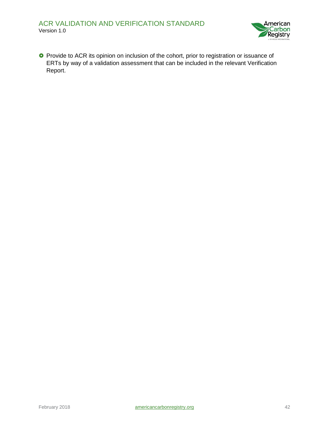

**O** Provide to ACR its opinion on inclusion of the cohort, prior to registration or issuance of ERTs by way of a validation assessment that can be included in the relevant Verification Report.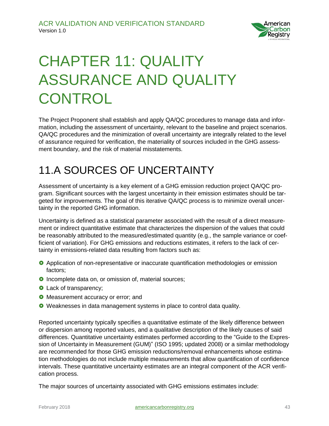

## <span id="page-42-0"></span>CHAPTER 11: QUALITY ASSURANCE AND QUALITY **CONTROL**

The Project Proponent shall establish and apply QA/QC procedures to manage data and information, including the assessment of uncertainty, relevant to the baseline and project scenarios. QA/QC procedures and the minimization of overall uncertainty are integrally related to the level of assurance required for verification, the materiality of sources included in the GHG assessment boundary, and the risk of material misstatements.

### <span id="page-42-1"></span>11.A SOURCES OF UNCERTAINTY

Assessment of uncertainty is a key element of a GHG emission reduction project QA/QC program. Significant sources with the largest uncertainty in their emission estimates should be targeted for improvements. The goal of this iterative QA/QC process is to minimize overall uncertainty in the reported GHG information.

Uncertainty is defined as a statistical parameter associated with the result of a direct measurement or indirect quantitative estimate that characterizes the dispersion of the values that could be reasonably attributed to the measured/estimated quantity (e.g., the sample variance or coefficient of variation). For GHG emissions and reductions estimates, it refers to the lack of certainty in emissions-related data resulting from factors such as:

- **O** Application of non-representative or inaccurate quantification methodologies or emission factors;
- **O** Incomplete data on, or omission of, material sources;
- **O** Lack of transparency;
- **O** Measurement accuracy or error; and
- Weaknesses in data management systems in place to control data quality.

Reported uncertainty typically specifies a quantitative estimate of the likely difference between or dispersion among reported values, and a qualitative description of the likely causes of said differences. Quantitative uncertainty estimates performed according to the "Guide to the Expression of Uncertainty in Measurement (GUM)" (ISO 1995; updated 2008) or a similar methodology are recommended for those GHG emission reductions/removal enhancements whose estimation methodologies do not include multiple measurements that allow quantification of confidence intervals. These quantitative uncertainty estimates are an integral component of the ACR verification process.

The major sources of uncertainty associated with GHG emissions estimates include: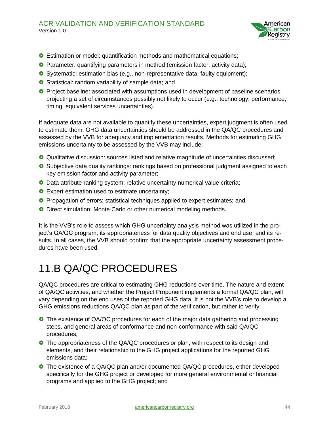

- **O** Estimation or model: quantification methods and mathematical equations;
- Parameter: quantifying parameters in method (emission factor, activity data);
- **O** Systematic: estimation bias (e.g., non-representative data, faulty equipment);
- **O** Statistical: random variability of sample data; and
- **P** Project baseline: associated with assumptions used in development of baseline scenarios, projecting a set of circumstances possibly not likely to occur (e.g., technology, performance, timing, equivalent services uncertainties).

If adequate data are not available to quantify these uncertainties, expert judgment is often used to estimate them. GHG data uncertainties should be addressed in the QA/QC procedures and assessed by the VVB for adequacy and implementation results. Methods for estimating GHG emissions uncertainty to be assessed by the VVB may include:

- Qualitative discussion: sources listed and relative magnitude of uncertainties discussed;
- **O** Subjective data quality rankings: rankings based on professional judgment assigned to each key emission factor and activity parameter;
- Data attribute ranking system: relative uncertainty numerical value criteria;
- **O** Expert estimation used to estimate uncertainty;
- **O** Propagation of errors: statistical techniques applied to expert estimates; and
- **O** Direct simulation: Monte Carlo or other numerical modeling methods.

It is the VVB's role to assess which GHG uncertainty analysis method was utilized in the project's QA/QC program, its appropriateness for data quality objectives and end use, and its results. In all cases, the VVB should confirm that the appropriate uncertainty assessment procedures have been used.

### <span id="page-43-0"></span>11.B QA/QC PROCEDURES

QA/QC procedures are critical to estimating GHG reductions over time. The nature and extent of QA/QC activities, and whether the Project Proponent implements a formal QA/QC plan, will vary depending on the end uses of the reported GHG data. It is not the VVB's role to develop a GHG emissions reductions QA/QC plan as part of the verification, but rather to verify:

- **O** The existence of QA/QC procedures for each of the major data gathering and processing steps, and general areas of conformance and non-conformance with said QA/QC procedures;
- **O** The appropriateness of the QA/QC procedures or plan, with respect to its design and elements, and their relationship to the GHG project applications for the reported GHG emissions data;
- **O** The existence of a QA/QC plan and/or documented QA/QC procedures, either developed specifically for the GHG project or developed for more general environmental or financial programs and applied to the GHG project; and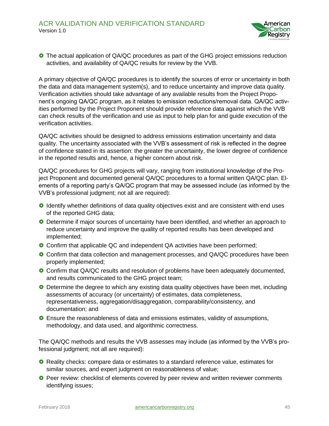

**O** The actual application of QA/QC procedures as part of the GHG project emissions reduction activities, and availability of QA/QC results for review by the VVB.

A primary objective of QA/QC procedures is to identify the sources of error or uncertainty in both the data and data management system(s), and to reduce uncertainty and improve data quality. Verification activities should take advantage of any available results from the Project Proponent's ongoing QA/QC program, as it relates to emission reductions/removal data. QA/QC activities performed by the Project Proponent should provide reference data against which the VVB can check results of the verification and use as input to help plan for and guide execution of the verification activities.

QA/QC activities should be designed to address emissions estimation uncertainty and data quality. The uncertainty associated with the VVB's assessment of risk is reflected in the degree of confidence stated in its assertion: the greater the uncertainty, the lower degree of confidence in the reported results and, hence, a higher concern about risk.

QA/QC procedures for GHG projects will vary, ranging from institutional knowledge of the Project Proponent and documented general QA/QC procedures to a formal written QA/QC plan. Elements of a reporting party's QA/QC program that may be assessed include (as informed by the VVB's professional judgment; not all are required):

- **O** Identify whether definitions of data quality objectives exist and are consistent with end uses of the reported GHG data;
- **O** Determine if major sources of uncertainty have been identified, and whether an approach to reduce uncertainty and improve the quality of reported results has been developed and implemented;
- **O** Confirm that applicable QC and independent QA activities have been performed;
- **O** Confirm that data collection and management processes, and QA/QC procedures have been properly implemented;
- **O** Confirm that QA/QC results and resolution of problems have been adequately documented, and results communicated to the GHG project team;
- **O** Determine the degree to which any existing data quality objectives have been met, including assessments of accuracy (or uncertainty) of estimates, data completeness, representativeness, aggregation/disaggregation, comparability/consistency, and documentation; and
- Ensure the reasonableness of data and emissions estimates, validity of assumptions, methodology, and data used, and algorithmic correctness.

The QA/QC methods and results the VVB assesses may include (as informed by the VVB's professional judgment; not all are required):

- **O** Reality checks: compare data or estimates to a standard reference value, estimates for similar sources, and expert judgment on reasonableness of value;
- **O** Peer review: checklist of elements covered by peer review and written reviewer comments identifying issues;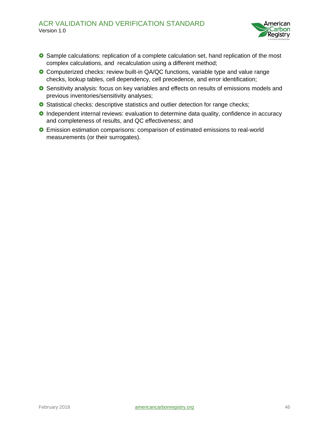

- **O** Sample calculations: replication of a complete calculation set, hand replication of the most complex calculations, and recalculation using a different method;
- **O** Computerized checks: review built-in QA/QC functions, variable type and value range checks, lookup tables, cell dependency, cell precedence, and error identification;
- **O** Sensitivity analysis: focus on key variables and effects on results of emissions models and previous inventories/sensitivity analyses;
- **O** Statistical checks: descriptive statistics and outlier detection for range checks;
- **O** Independent internal reviews: evaluation to determine data quality, confidence in accuracy and completeness of results, and QC effectiveness; and
- Emission estimation comparisons: comparison of estimated emissions to real-world measurements (or their surrogates).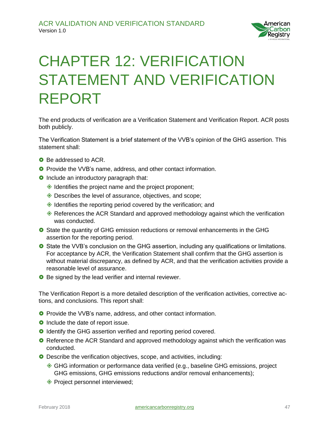

# <span id="page-46-0"></span>CHAPTER 12: VERIFICATION STATEMENT AND VERIFICATION REPORT

The end products of verification are a Verification Statement and Verification Report. ACR posts both publicly.

The Verification Statement is a brief statement of the VVB's opinion of the GHG assertion. This statement shall:

- **O** Be addressed to ACR.
- **O** Provide the VVB's name, address, and other contact information.
- **O** Include an introductory paragraph that:
	- $\Diamond$  Identifies the project name and the project proponent;
	- ◆ Describes the level of assurance, objectives, and scope;
	- $\triangleleft$  Identifies the reporting period covered by the verification; and
	- $\Diamond$  References the ACR Standard and approved methodology against which the verification was conducted.
- **O** State the quantity of GHG emission reductions or removal enhancements in the GHG assertion for the reporting period.
- **O** State the VVB's conclusion on the GHG assertion, including any qualifications or limitations. For acceptance by ACR, the Verification Statement shall confirm that the GHG assertion is without material discrepancy, as defined by ACR, and that the verification activities provide a reasonable level of assurance.
- **O** Be signed by the lead verifier and internal reviewer.

The Verification Report is a more detailed description of the verification activities, corrective actions, and conclusions. This report shall:

- **O** Provide the VVB's name, address, and other contact information.
- **O** Include the date of report issue.
- **O** Identify the GHG assertion verified and reporting period covered.
- **O** Reference the ACR Standard and approved methodology against which the verification was conducted.
- **O** Describe the verification objectives, scope, and activities, including:
	- GHG information or performance data verified (e.g., baseline GHG emissions, project GHG emissions, GHG emissions reductions and/or removal enhancements);
	- ◆ Project personnel interviewed;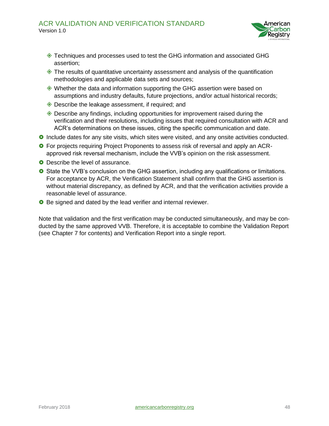

- Techniques and processes used to test the GHG information and associated GHG assertion;
- $\Diamond$  The results of quantitative uncertainty assessment and analysis of the quantification methodologies and applicable data sets and sources;
- Whether the data and information supporting the GHG assertion were based on assumptions and industry defaults, future projections, and/or actual historical records;
- ◆ Describe the leakage assessment, if required; and
- $\Diamond$  Describe any findings, including opportunities for improvement raised during the verification and their resolutions, including issues that required consultation with ACR and ACR's determinations on these issues, citing the specific communication and date.
- **O** Include dates for any site visits, which sites were visited, and any onsite activities conducted.
- **O** For projects requiring Project Proponents to assess risk of reversal and apply an ACRapproved risk reversal mechanism, include the VVB's opinion on the risk assessment.
- **O** Describe the level of assurance.
- **O** State the VVB's conclusion on the GHG assertion, including any qualifications or limitations. For acceptance by ACR, the Verification Statement shall confirm that the GHG assertion is without material discrepancy, as defined by ACR, and that the verification activities provide a reasonable level of assurance.
- **O** Be signed and dated by the lead verifier and internal reviewer.

Note that validation and the first verification may be conducted simultaneously, and may be conducted by the same approved VVB. Therefore, it is acceptable to combine the Validation Report (see Chapter 7 for contents) and Verification Report into a single report.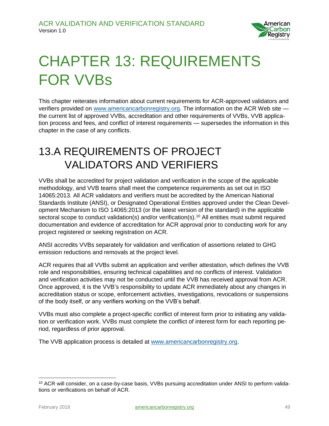

# <span id="page-48-0"></span>CHAPTER 13: REQUIREMENTS FOR VVBs

This chapter reiterates information about current requirements for ACR-approved validators and verifiers provided on [www.americancarbonregistry.org.](https://winrockintl-my.sharepoint.com/personal/rori_cowan_winrock_org/Documents/Standards/Val%20Ver%20Guideline/www.americancarbonregistry.org) The information on the ACR Web site the current list of approved VVBs, accreditation and other requirements of VVBs, VVB application process and fees, and conflict of interest requirements — supersedes the information in this chapter in the case of any conflicts.

#### <span id="page-48-1"></span>13.A REQUIREMENTS OF PROJECT VALIDATORS AND VERIFIERS

VVBs shall be accredited for project validation and verification in the scope of the applicable methodology, and VVB teams shall meet the competence requirements as set out in ISO 14065:2013. All ACR validators and verifiers must be accredited by the American National Standards Institute (ANSI), or Designated Operational Entities approved under the Clean Development Mechanism to ISO 14065:2013 (or the latest version of the standard) in the applicable sectoral scope to conduct validation(s) and/or verification(s).<sup>10</sup> All entities must submit required documentation and evidence of accreditation for ACR approval prior to conducting work for any project registered or seeking registration on ACR.

ANSI accredits VVBs separately for validation and verification of assertions related to GHG emission reductions and removals at the project level.

ACR requires that all VVBs submit an application and verifier attestation, which defines the VVB role and responsibilities, ensuring technical capabilities and no conflicts of interest. Validation and verification activities may not be conducted until the VVB has received approval from ACR. Once approved, it is the VVB's responsibility to update ACR immediately about any changes in accreditation status or scope, enforcement activities, investigations, revocations or suspensions of the body itself, or any verifiers working on the VVB's behalf.

VVBs must also complete a project-specific conflict of interest form prior to initiating any validation or verification work. VVBs must complete the conflict of interest form for each reporting period, regardless of prior approval.

The VVB application process is detailed at [www.americancarbonregistry.org.](http://www.americancarbonregistry.org/)

 <sup>10</sup> ACR will consider, on a case-by-case basis, VVBs pursuing accreditation under ANSI to perform validations or verifications on behalf of ACR.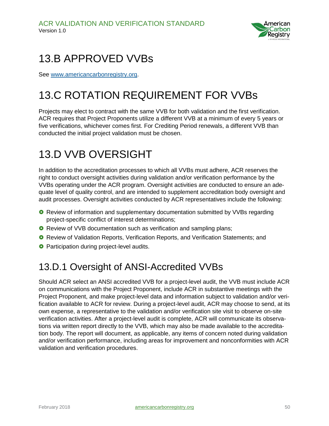

### <span id="page-49-0"></span>13.B APPROVED VVBs

See [www.americancarbonregistry.org.](http://www.americancarbonregistry.org/)

### <span id="page-49-1"></span>13.C ROTATION REQUIREMENT FOR VVBs

Projects may elect to contract with the same VVB for both validation and the first verification. ACR requires that Project Proponents utilize a different VVB at a minimum of every 5 years or five verifications, whichever comes first. For Crediting Period renewals, a different VVB than conducted the initial project validation must be chosen.

#### <span id="page-49-2"></span>13.D VVB OVERSIGHT

In addition to the accreditation processes to which all VVBs must adhere, ACR reserves the right to conduct oversight activities during validation and/or verification performance by the VVBs operating under the ACR program. Oversight activities are conducted to ensure an adequate level of quality control, and are intended to supplement accreditation body oversight and audit processes. Oversight activities conducted by ACR representatives include the following:

- **O** Review of information and supplementary documentation submitted by VVBs regarding project-specific conflict of interest determinations;
- **O** Review of VVB documentation such as verification and sampling plans;
- **O** Review of Validation Reports, Verification Reports, and Verification Statements; and
- **O** Participation during project-level audits.

#### <span id="page-49-3"></span>13.D.1 Oversight of ANSI-Accredited VVBs

Should ACR select an ANSI accredited VVB for a project-level audit, the VVB must include ACR on communications with the Project Proponent, include ACR in substantive meetings with the Project Proponent, and make project-level data and information subject to validation and/or verification available to ACR for review. During a project-level audit, ACR may choose to send, at its own expense, a representative to the validation and/or verification site visit to observe on-site verification activities. After a project-level audit is complete, ACR will communicate its observations via written report directly to the VVB, which may also be made available to the accreditation body. The report will document, as applicable, any items of concern noted during validation and/or verification performance, including areas for improvement and nonconformities with ACR validation and verification procedures.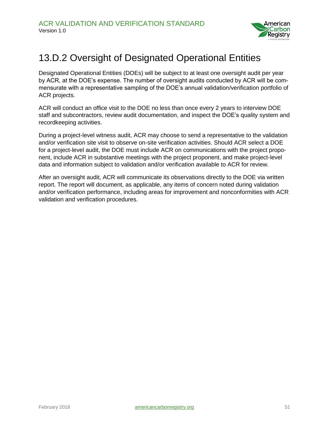

#### <span id="page-50-0"></span>13.D.2 Oversight of Designated Operational Entities

Designated Operational Entities (DOEs) will be subject to at least one oversight audit per year by ACR, at the DOE's expense. The number of oversight audits conducted by ACR will be commensurate with a representative sampling of the DOE's annual validation/verification portfolio of ACR projects.

ACR will conduct an office visit to the DOE no less than once every 2 years to interview DOE staff and subcontractors, review audit documentation, and inspect the DOE's quality system and recordkeeping activities.

During a project-level witness audit, ACR may choose to send a representative to the validation and/or verification site visit to observe on-site verification activities. Should ACR select a DOE for a project-level audit, the DOE must include ACR on communications with the project proponent, include ACR in substantive meetings with the project proponent, and make project-level data and information subject to validation and/or verification available to ACR for review.

After an oversight audit, ACR will communicate its observations directly to the DOE via written report. The report will document, as applicable, any items of concern noted during validation and/or verification performance, including areas for improvement and nonconformities with ACR validation and verification procedures.